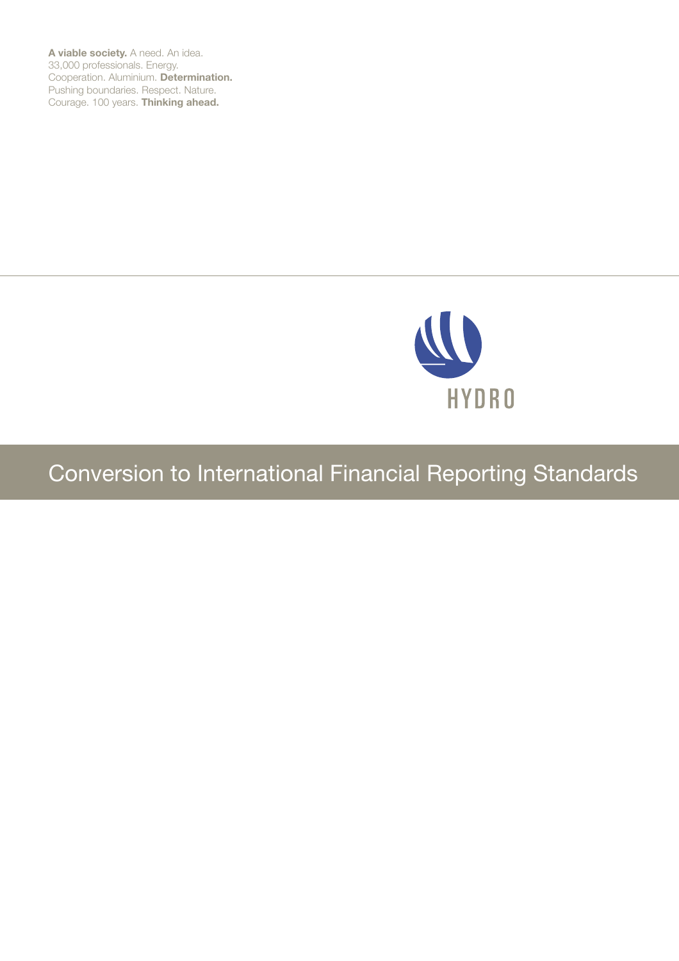**A viable society.** A need. An idea. 33,000 professionals. Energy. Cooperation. Aluminium. **Determination.** Pushing boundaries. Respect. Nature. Courage. 100 years. **Thinking ahead.**



# Conversion to International Financial Reporting Standards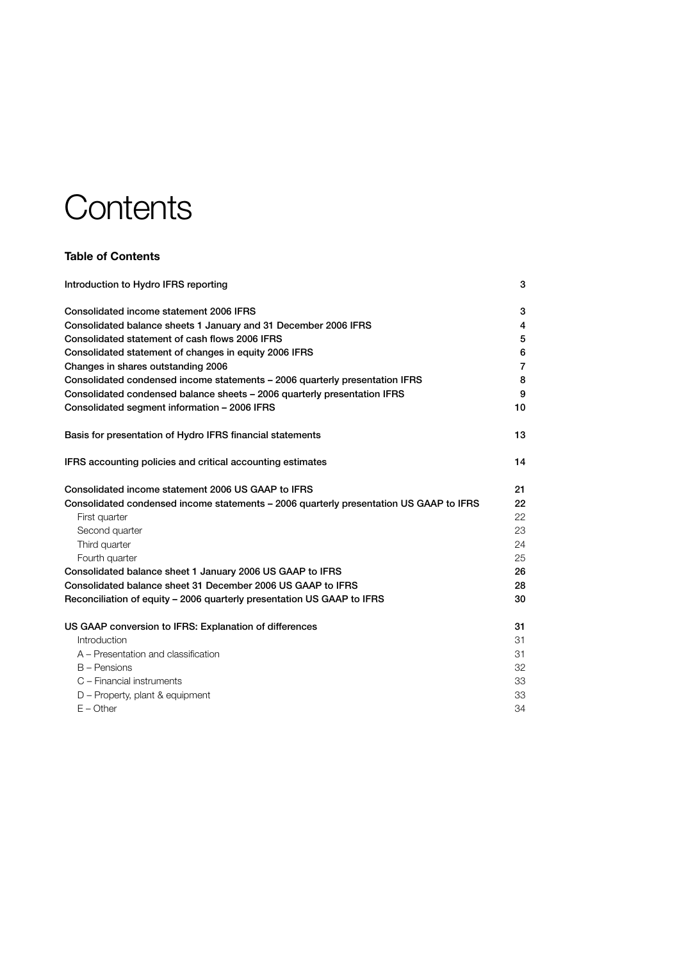# **Contents**

## **Table of Contents**

| Introduction to Hydro IFRS reporting                                                   | 3              |
|----------------------------------------------------------------------------------------|----------------|
| Consolidated income statement 2006 IFRS                                                | 3              |
| Consolidated balance sheets 1 January and 31 December 2006 IFRS                        | 4              |
| Consolidated statement of cash flows 2006 IFRS                                         | 5              |
| Consolidated statement of changes in equity 2006 IFRS                                  | 6              |
| Changes in shares outstanding 2006                                                     | $\overline{7}$ |
| Consolidated condensed income statements - 2006 quarterly presentation IFRS            | 8              |
| Consolidated condensed balance sheets - 2006 quarterly presentation IFRS               | 9              |
| Consolidated segment information - 2006 IFRS                                           | 10             |
| Basis for presentation of Hydro IFRS financial statements                              | 13             |
| IFRS accounting policies and critical accounting estimates                             | 14             |
| Consolidated income statement 2006 US GAAP to IFRS                                     | 21             |
| Consolidated condensed income statements – 2006 quarterly presentation US GAAP to IFRS | 22             |
| First quarter                                                                          | 22             |
| Second quarter                                                                         | 23             |
| Third quarter                                                                          | 24             |
| Fourth quarter                                                                         | 25             |
| Consolidated balance sheet 1 January 2006 US GAAP to IFRS                              | 26             |
| Consolidated balance sheet 31 December 2006 US GAAP to IFRS                            | 28             |
| Reconciliation of equity - 2006 quarterly presentation US GAAP to IFRS                 | 30             |
| US GAAP conversion to IFRS: Explanation of differences                                 | 31             |
| Introduction                                                                           | 31             |
| A – Presentation and classification                                                    | 31             |
| $B -$ Pensions                                                                         | 32             |
| C - Financial instruments                                                              | 33             |
| D - Property, plant & equipment                                                        | 33             |
| $E -$ Other                                                                            | 34             |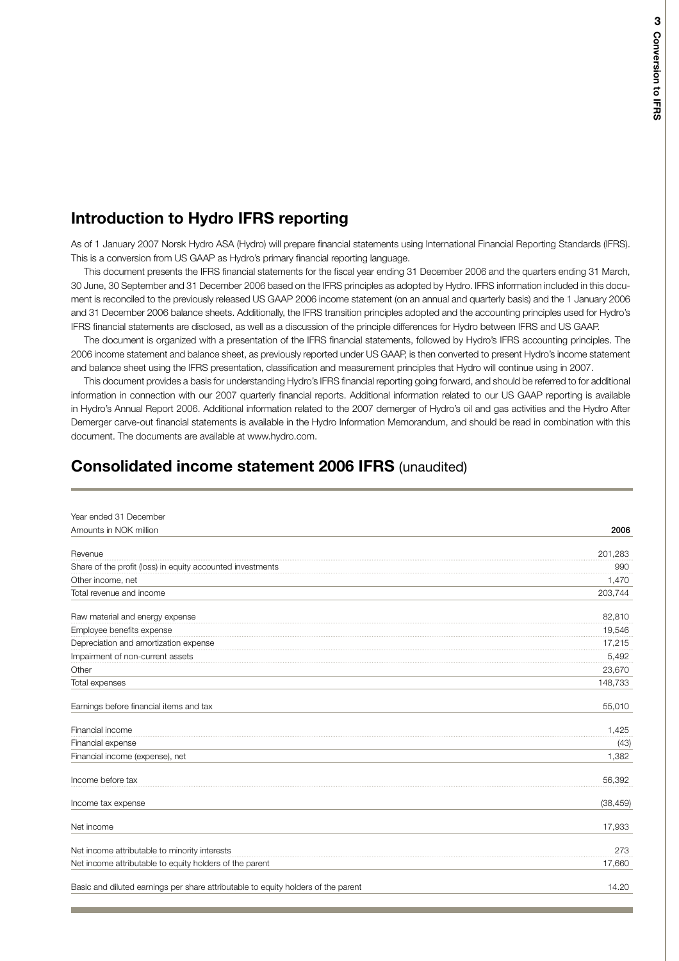## **Introduction to Hydro IFRS reporting**

As of 1 January 2007 Norsk Hydro ASA (Hydro) will prepare financial statements using International Financial Reporting Standards (IFRS). This is a conversion from US GAAP as Hydro's primary financial reporting language.

This document presents the IFRS financial statements for the fiscal year ending 31 December 2006 and the quarters ending 31 March, 30 June, 30 September and 31 December 2006 based on the IFRS principles as adopted by Hydro. IFRS information included in this document is reconciled to the previously released US GAAP 2006 income statement (on an annual and quarterly basis) and the 1 January 2006 and 31 December 2006 balance sheets. Additionally, the IFRS transition principles adopted and the accounting principles used for Hydro's IFRS financial statements are disclosed, as well as a discussion of the principle differences for Hydro between IFRS and US GAAP.

The document is organized with a presentation of the IFRS financial statements, followed by Hydro's IFRS accounting principles. The 2006 income statement and balance sheet, as previously reported under US GAAP, is then converted to present Hydro's income statement and balance sheet using the IFRS presentation, classification and measurement principles that Hydro will continue using in 2007.

This document provides a basis for understanding Hydro's IFRS financial reporting going forward, and should be referred to for additional information in connection with our 2007 quarterly financial reports. Additional information related to our US GAAP reporting is available in Hydro's Annual Report 2006. Additional information related to the 2007 demerger of Hydro's oil and gas activities and the Hydro After Demerger carve-out financial statements is available in the Hydro Information Memorandum, and should be read in combination with this document. The documents are available at www.hydro.com.

## **Consolidated income statement 2006 IFRS** (unaudited)

| Year ended 31 December                                                            |           |
|-----------------------------------------------------------------------------------|-----------|
| Amounts in NOK million                                                            | 2006      |
| Revenue                                                                           | 201,283   |
| Share of the profit (loss) in equity accounted investments                        | 990       |
| Other income, net                                                                 | 1,470     |
| Total revenue and income                                                          | 203,744   |
| Raw material and energy expense                                                   | 82,810    |
| Employee benefits expense                                                         | 19,546    |
| Depreciation and amortization expense                                             | 17,215    |
| Impairment of non-current assets                                                  | 5,492     |
| Other                                                                             | 23,670    |
| Total expenses                                                                    | 148,733   |
| Earnings before financial items and tax                                           | 55,010    |
| Financial income                                                                  | 1,425     |
| Financial expense                                                                 | (43)      |
| Financial income (expense), net                                                   | 1,382     |
| Income before tax                                                                 | 56,392    |
| Income tax expense                                                                | (38, 459) |
| Net income                                                                        | 17,933    |
| Net income attributable to minority interests                                     | 273       |
| Net income attributable to equity holders of the parent                           | 17,660    |
| Basic and diluted earnings per share attributable to equity holders of the parent | 14.20     |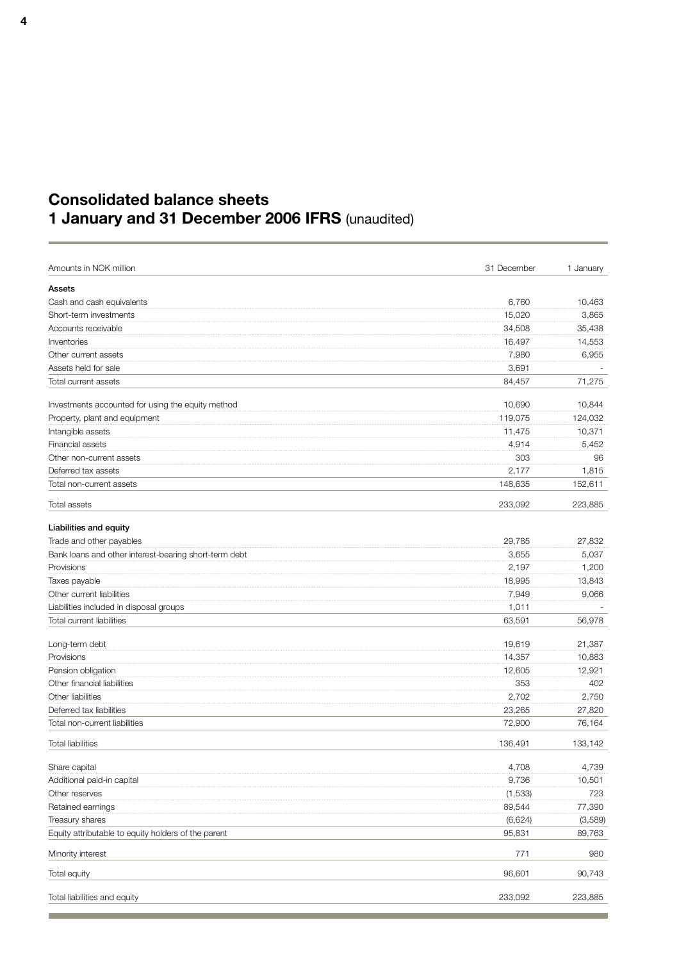## **Consolidated balance sheets 1 January and 31 December 2006 IFRS** (unaudited)

| Amounts in NOK million                                | 31 December | 1 January |
|-------------------------------------------------------|-------------|-----------|
| Assets                                                |             |           |
| Cash and cash equivalents                             | 6,760       | 10,463    |
| Short-term investments                                | 15,020      | 3,865     |
| Accounts receivable                                   | 34,508      | 35,438    |
| Inventories                                           | 16,497      | 14,553    |
| Other current assets                                  | 7,980       | 6,955     |
| Assets held for sale                                  | 3,691       |           |
| Total current assets                                  | 84,457      | 71,275    |
|                                                       |             |           |
| Investments accounted for using the equity method     | 10,690      | 10,844    |
| Property, plant and equipment                         | 119,075     | 124,032   |
| Intangible assets                                     | 11,475      | 10,371    |
| Financial assets                                      | 4,914       | 5,452     |
| Other non-current assets                              | 303         | 96        |
| Deferred tax assets                                   | 2,177       | 1,815     |
| Total non-current assets                              | 148,635     | 152,611   |
| Total assets                                          | 233,092     | 223,885   |
| Liabilities and equity                                |             |           |
| Trade and other payables                              | 29.785      | 27.832    |
| Bank loans and other interest-bearing short-term debt | 3.655       | 5,037     |
| Provisions                                            | 2,197       | 1,200     |
| Taxes payable                                         | 18,995      | 13,843    |
| Other current liabilities                             | 7,949       | 9,066     |
| Liabilities included in disposal groups               | 1,011       |           |
| Total current liabilities                             | 63,591      | 56,978    |
| Long-term debt                                        | 19,619      | 21,387    |
| Provisions                                            | 14,357      | 10,883    |
| Pension obligation                                    | 12,605      | 12,921    |
| Other financial liabilities                           | 353         | 402       |
| Other liabilities                                     | 2,702       | 2,750     |
| Deferred tax liabilities                              | 23,265      | 27,820    |
| Total non-current liabilities                         | 72,900      | 76,164    |
| <b>Total liabilities</b>                              |             | 133,142   |
|                                                       | 136,491     |           |
| Share capital                                         | 4,708       | 4,739     |
| Additional paid-in capital                            | 9,736       | 10,501    |
| Other reserves                                        | (1,533)     | 723       |
| Retained earnings                                     | 89,544      | 77,390    |
| Treasury shares                                       | (6,624)     | (3,589)   |
| Equity attributable to equity holders of the parent   | 95,831      | 89,763    |
| Minority interest                                     | 771         | 980       |
| Total equity                                          | 96,601      | 90,743    |
| Total liabilities and equity                          | 233,092     | 223,885   |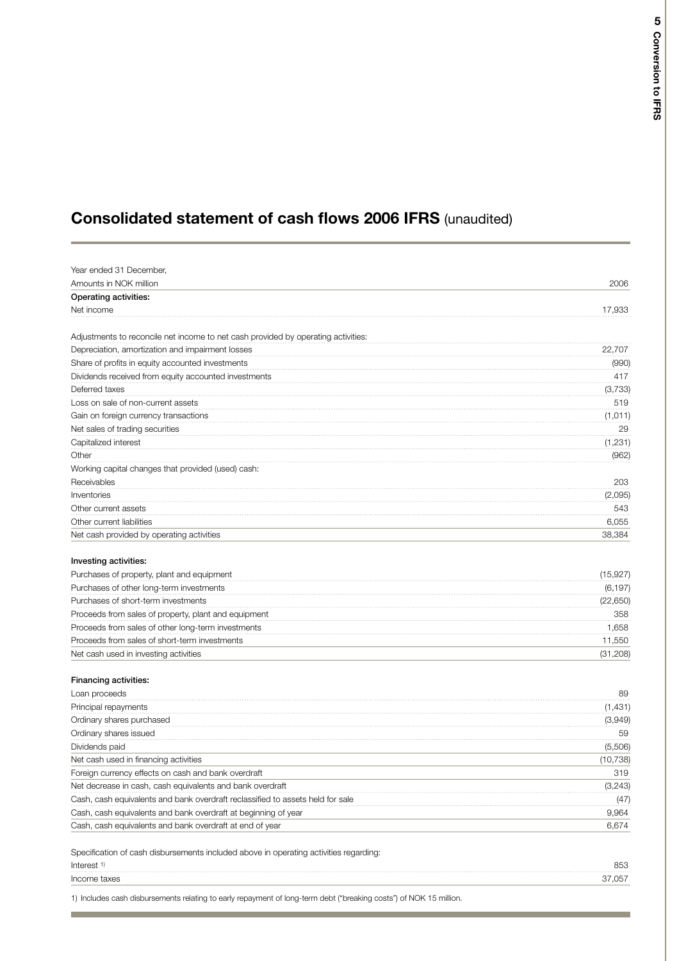## **Consolidated statement of cash flows 2006 IFRS** (unaudited)

| Amounts in NOK million                                                            | 2006      |
|-----------------------------------------------------------------------------------|-----------|
| Operating activities:                                                             |           |
| Net income                                                                        | 17,933    |
|                                                                                   |           |
| Adjustments to reconcile net income to net cash provided by operating activities: |           |
| Depreciation, amortization and impairment losses                                  | 22,707    |
| Share of profits in equity accounted investments                                  | (990)     |
| Dividends received from equity accounted investments                              | 417       |
| Deferred taxes                                                                    | (3,733)   |
| Loss on sale of non-current assets                                                | 519       |
| Gain on foreign currency transactions                                             | (1, 011)  |
| Net sales of trading securities                                                   | 29        |
| Capitalized interest                                                              | (1, 231)  |
| Other                                                                             | (962)     |
| Working capital changes that provided (used) cash:                                |           |
| Receivables                                                                       | 203       |
| Inventories                                                                       | (2,095)   |
| Other current assets                                                              | 543       |
| Other current liabilities                                                         | 6,055     |
| Net cash provided by operating activities                                         | 38,384    |
|                                                                                   |           |
| Investing activities:                                                             |           |
| Purchases of property, plant and equipment                                        | (15, 927) |
| Purchases of other long-term investments                                          | (6, 197)  |
| Purchases of short-term investments                                               | (22, 650) |
| Proceeds from sales of property, plant and equipment                              | 358       |
| Proceeds from sales of other long-term investments                                | 1,658     |
| Proceeds from sales of short-term investments                                     | 11,550    |
| Net cash used in investing activities                                             | (31,208)  |
| Financing activities:                                                             |           |
| Loan proceeds                                                                     | 89        |
| Principal repayments                                                              | (1,431)   |
| Ordinary shares purchased                                                         | (3,949)   |
| Ordinary shares issued                                                            | 59        |
| Dividends paid                                                                    | (5,506)   |
| Net cash used in financing activities                                             | (10, 738) |
| Foreign currency effects on cash and bank overdraft                               | 319       |
| Net decrease in cash, cash equivalents and bank overdraft                         | (3, 243)  |
| Cash, cash equivalents and bank overdraft reclassified to assets held for sale    | (47)      |
| Cash, cash equivalents and bank overdraft at beginning of year                    | 9,964     |
| Cash, cash equivalents and bank overdraft at end of year                          | 6,674     |
|                                                                                   |           |

| Interest     | 85C  |
|--------------|------|
| Income taxes | . 15 |
|              |      |

1) Includes cash disbursements relating to early repayment of long-term debt ("breaking costs") of NOK 15 million.

m.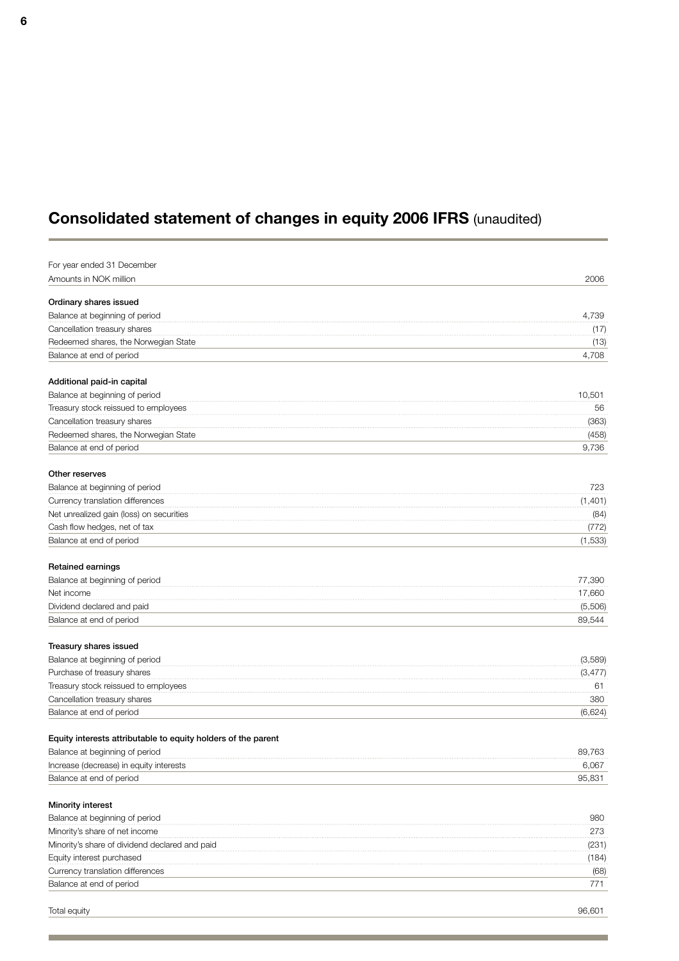## **Consolidated statement of changes in equity 2006 IFRS** (unaudited)

| For year ended 31 December<br>Amounts in NOK million<br>2006<br>Ordinary shares issued<br>Balance at beginning of period<br>4,739<br>Cancellation treasury shares<br>(17)<br>Redeemed shares, the Norwegian State<br>(13)<br>4,708<br>Balance at end of period<br>Additional paid-in capital<br>Balance at beginning of period<br>10,501<br>Treasury stock reissued to employees<br>56<br>Cancellation treasury shares<br>(363)<br>Redeemed shares, the Norwegian State<br>(458)<br>Balance at end of period<br>9,736<br>Other reserves<br>Balance at beginning of period<br>723<br>(1,401)<br>Currency translation differences<br>Net unrealized gain (loss) on securities<br>(84)<br>Cash flow hedges, net of tax<br>(772)<br>(1,533)<br>Balance at end of period<br>Retained earnings<br>77,390<br>Balance at beginning of period<br>17,660<br>Net income<br>Dividend declared and paid<br>(5,506)<br>89,544<br>Balance at end of period<br>Treasury shares issued<br>Balance at beginning of period<br>(3,589)<br>Purchase of treasury shares<br>(3, 477)<br>Treasury stock reissued to employees<br>61<br>Cancellation treasury shares<br>380<br>Balance at end of period<br>(6,624)<br>Equity interests attributable to equity holders of the parent<br>Balance at beginning of period<br>89,763<br>Increase (decrease) in equity interests<br>6,067<br>95,831<br>Balance at end of period<br>Minority interest<br>Balance at beginning of period<br>980<br>273<br>Minority's share of net income<br>Minority's share of dividend declared and paid<br>(231)<br>Equity interest purchased<br>(184)<br>Currency translation differences<br>(68)<br>771<br>Balance at end of period |  |
|-----------------------------------------------------------------------------------------------------------------------------------------------------------------------------------------------------------------------------------------------------------------------------------------------------------------------------------------------------------------------------------------------------------------------------------------------------------------------------------------------------------------------------------------------------------------------------------------------------------------------------------------------------------------------------------------------------------------------------------------------------------------------------------------------------------------------------------------------------------------------------------------------------------------------------------------------------------------------------------------------------------------------------------------------------------------------------------------------------------------------------------------------------------------------------------------------------------------------------------------------------------------------------------------------------------------------------------------------------------------------------------------------------------------------------------------------------------------------------------------------------------------------------------------------------------------------------------------------------------------------------------------------------------------------------------------|--|
|                                                                                                                                                                                                                                                                                                                                                                                                                                                                                                                                                                                                                                                                                                                                                                                                                                                                                                                                                                                                                                                                                                                                                                                                                                                                                                                                                                                                                                                                                                                                                                                                                                                                                         |  |
|                                                                                                                                                                                                                                                                                                                                                                                                                                                                                                                                                                                                                                                                                                                                                                                                                                                                                                                                                                                                                                                                                                                                                                                                                                                                                                                                                                                                                                                                                                                                                                                                                                                                                         |  |
|                                                                                                                                                                                                                                                                                                                                                                                                                                                                                                                                                                                                                                                                                                                                                                                                                                                                                                                                                                                                                                                                                                                                                                                                                                                                                                                                                                                                                                                                                                                                                                                                                                                                                         |  |
|                                                                                                                                                                                                                                                                                                                                                                                                                                                                                                                                                                                                                                                                                                                                                                                                                                                                                                                                                                                                                                                                                                                                                                                                                                                                                                                                                                                                                                                                                                                                                                                                                                                                                         |  |
|                                                                                                                                                                                                                                                                                                                                                                                                                                                                                                                                                                                                                                                                                                                                                                                                                                                                                                                                                                                                                                                                                                                                                                                                                                                                                                                                                                                                                                                                                                                                                                                                                                                                                         |  |
|                                                                                                                                                                                                                                                                                                                                                                                                                                                                                                                                                                                                                                                                                                                                                                                                                                                                                                                                                                                                                                                                                                                                                                                                                                                                                                                                                                                                                                                                                                                                                                                                                                                                                         |  |
|                                                                                                                                                                                                                                                                                                                                                                                                                                                                                                                                                                                                                                                                                                                                                                                                                                                                                                                                                                                                                                                                                                                                                                                                                                                                                                                                                                                                                                                                                                                                                                                                                                                                                         |  |
|                                                                                                                                                                                                                                                                                                                                                                                                                                                                                                                                                                                                                                                                                                                                                                                                                                                                                                                                                                                                                                                                                                                                                                                                                                                                                                                                                                                                                                                                                                                                                                                                                                                                                         |  |
|                                                                                                                                                                                                                                                                                                                                                                                                                                                                                                                                                                                                                                                                                                                                                                                                                                                                                                                                                                                                                                                                                                                                                                                                                                                                                                                                                                                                                                                                                                                                                                                                                                                                                         |  |
|                                                                                                                                                                                                                                                                                                                                                                                                                                                                                                                                                                                                                                                                                                                                                                                                                                                                                                                                                                                                                                                                                                                                                                                                                                                                                                                                                                                                                                                                                                                                                                                                                                                                                         |  |
|                                                                                                                                                                                                                                                                                                                                                                                                                                                                                                                                                                                                                                                                                                                                                                                                                                                                                                                                                                                                                                                                                                                                                                                                                                                                                                                                                                                                                                                                                                                                                                                                                                                                                         |  |
|                                                                                                                                                                                                                                                                                                                                                                                                                                                                                                                                                                                                                                                                                                                                                                                                                                                                                                                                                                                                                                                                                                                                                                                                                                                                                                                                                                                                                                                                                                                                                                                                                                                                                         |  |
|                                                                                                                                                                                                                                                                                                                                                                                                                                                                                                                                                                                                                                                                                                                                                                                                                                                                                                                                                                                                                                                                                                                                                                                                                                                                                                                                                                                                                                                                                                                                                                                                                                                                                         |  |
|                                                                                                                                                                                                                                                                                                                                                                                                                                                                                                                                                                                                                                                                                                                                                                                                                                                                                                                                                                                                                                                                                                                                                                                                                                                                                                                                                                                                                                                                                                                                                                                                                                                                                         |  |
|                                                                                                                                                                                                                                                                                                                                                                                                                                                                                                                                                                                                                                                                                                                                                                                                                                                                                                                                                                                                                                                                                                                                                                                                                                                                                                                                                                                                                                                                                                                                                                                                                                                                                         |  |
|                                                                                                                                                                                                                                                                                                                                                                                                                                                                                                                                                                                                                                                                                                                                                                                                                                                                                                                                                                                                                                                                                                                                                                                                                                                                                                                                                                                                                                                                                                                                                                                                                                                                                         |  |
|                                                                                                                                                                                                                                                                                                                                                                                                                                                                                                                                                                                                                                                                                                                                                                                                                                                                                                                                                                                                                                                                                                                                                                                                                                                                                                                                                                                                                                                                                                                                                                                                                                                                                         |  |
|                                                                                                                                                                                                                                                                                                                                                                                                                                                                                                                                                                                                                                                                                                                                                                                                                                                                                                                                                                                                                                                                                                                                                                                                                                                                                                                                                                                                                                                                                                                                                                                                                                                                                         |  |
|                                                                                                                                                                                                                                                                                                                                                                                                                                                                                                                                                                                                                                                                                                                                                                                                                                                                                                                                                                                                                                                                                                                                                                                                                                                                                                                                                                                                                                                                                                                                                                                                                                                                                         |  |
|                                                                                                                                                                                                                                                                                                                                                                                                                                                                                                                                                                                                                                                                                                                                                                                                                                                                                                                                                                                                                                                                                                                                                                                                                                                                                                                                                                                                                                                                                                                                                                                                                                                                                         |  |
|                                                                                                                                                                                                                                                                                                                                                                                                                                                                                                                                                                                                                                                                                                                                                                                                                                                                                                                                                                                                                                                                                                                                                                                                                                                                                                                                                                                                                                                                                                                                                                                                                                                                                         |  |
|                                                                                                                                                                                                                                                                                                                                                                                                                                                                                                                                                                                                                                                                                                                                                                                                                                                                                                                                                                                                                                                                                                                                                                                                                                                                                                                                                                                                                                                                                                                                                                                                                                                                                         |  |
|                                                                                                                                                                                                                                                                                                                                                                                                                                                                                                                                                                                                                                                                                                                                                                                                                                                                                                                                                                                                                                                                                                                                                                                                                                                                                                                                                                                                                                                                                                                                                                                                                                                                                         |  |
|                                                                                                                                                                                                                                                                                                                                                                                                                                                                                                                                                                                                                                                                                                                                                                                                                                                                                                                                                                                                                                                                                                                                                                                                                                                                                                                                                                                                                                                                                                                                                                                                                                                                                         |  |
|                                                                                                                                                                                                                                                                                                                                                                                                                                                                                                                                                                                                                                                                                                                                                                                                                                                                                                                                                                                                                                                                                                                                                                                                                                                                                                                                                                                                                                                                                                                                                                                                                                                                                         |  |
|                                                                                                                                                                                                                                                                                                                                                                                                                                                                                                                                                                                                                                                                                                                                                                                                                                                                                                                                                                                                                                                                                                                                                                                                                                                                                                                                                                                                                                                                                                                                                                                                                                                                                         |  |
|                                                                                                                                                                                                                                                                                                                                                                                                                                                                                                                                                                                                                                                                                                                                                                                                                                                                                                                                                                                                                                                                                                                                                                                                                                                                                                                                                                                                                                                                                                                                                                                                                                                                                         |  |
|                                                                                                                                                                                                                                                                                                                                                                                                                                                                                                                                                                                                                                                                                                                                                                                                                                                                                                                                                                                                                                                                                                                                                                                                                                                                                                                                                                                                                                                                                                                                                                                                                                                                                         |  |
|                                                                                                                                                                                                                                                                                                                                                                                                                                                                                                                                                                                                                                                                                                                                                                                                                                                                                                                                                                                                                                                                                                                                                                                                                                                                                                                                                                                                                                                                                                                                                                                                                                                                                         |  |
|                                                                                                                                                                                                                                                                                                                                                                                                                                                                                                                                                                                                                                                                                                                                                                                                                                                                                                                                                                                                                                                                                                                                                                                                                                                                                                                                                                                                                                                                                                                                                                                                                                                                                         |  |
|                                                                                                                                                                                                                                                                                                                                                                                                                                                                                                                                                                                                                                                                                                                                                                                                                                                                                                                                                                                                                                                                                                                                                                                                                                                                                                                                                                                                                                                                                                                                                                                                                                                                                         |  |
|                                                                                                                                                                                                                                                                                                                                                                                                                                                                                                                                                                                                                                                                                                                                                                                                                                                                                                                                                                                                                                                                                                                                                                                                                                                                                                                                                                                                                                                                                                                                                                                                                                                                                         |  |
|                                                                                                                                                                                                                                                                                                                                                                                                                                                                                                                                                                                                                                                                                                                                                                                                                                                                                                                                                                                                                                                                                                                                                                                                                                                                                                                                                                                                                                                                                                                                                                                                                                                                                         |  |
|                                                                                                                                                                                                                                                                                                                                                                                                                                                                                                                                                                                                                                                                                                                                                                                                                                                                                                                                                                                                                                                                                                                                                                                                                                                                                                                                                                                                                                                                                                                                                                                                                                                                                         |  |
|                                                                                                                                                                                                                                                                                                                                                                                                                                                                                                                                                                                                                                                                                                                                                                                                                                                                                                                                                                                                                                                                                                                                                                                                                                                                                                                                                                                                                                                                                                                                                                                                                                                                                         |  |
|                                                                                                                                                                                                                                                                                                                                                                                                                                                                                                                                                                                                                                                                                                                                                                                                                                                                                                                                                                                                                                                                                                                                                                                                                                                                                                                                                                                                                                                                                                                                                                                                                                                                                         |  |
|                                                                                                                                                                                                                                                                                                                                                                                                                                                                                                                                                                                                                                                                                                                                                                                                                                                                                                                                                                                                                                                                                                                                                                                                                                                                                                                                                                                                                                                                                                                                                                                                                                                                                         |  |
|                                                                                                                                                                                                                                                                                                                                                                                                                                                                                                                                                                                                                                                                                                                                                                                                                                                                                                                                                                                                                                                                                                                                                                                                                                                                                                                                                                                                                                                                                                                                                                                                                                                                                         |  |
|                                                                                                                                                                                                                                                                                                                                                                                                                                                                                                                                                                                                                                                                                                                                                                                                                                                                                                                                                                                                                                                                                                                                                                                                                                                                                                                                                                                                                                                                                                                                                                                                                                                                                         |  |
|                                                                                                                                                                                                                                                                                                                                                                                                                                                                                                                                                                                                                                                                                                                                                                                                                                                                                                                                                                                                                                                                                                                                                                                                                                                                                                                                                                                                                                                                                                                                                                                                                                                                                         |  |
|                                                                                                                                                                                                                                                                                                                                                                                                                                                                                                                                                                                                                                                                                                                                                                                                                                                                                                                                                                                                                                                                                                                                                                                                                                                                                                                                                                                                                                                                                                                                                                                                                                                                                         |  |
|                                                                                                                                                                                                                                                                                                                                                                                                                                                                                                                                                                                                                                                                                                                                                                                                                                                                                                                                                                                                                                                                                                                                                                                                                                                                                                                                                                                                                                                                                                                                                                                                                                                                                         |  |
|                                                                                                                                                                                                                                                                                                                                                                                                                                                                                                                                                                                                                                                                                                                                                                                                                                                                                                                                                                                                                                                                                                                                                                                                                                                                                                                                                                                                                                                                                                                                                                                                                                                                                         |  |
|                                                                                                                                                                                                                                                                                                                                                                                                                                                                                                                                                                                                                                                                                                                                                                                                                                                                                                                                                                                                                                                                                                                                                                                                                                                                                                                                                                                                                                                                                                                                                                                                                                                                                         |  |
|                                                                                                                                                                                                                                                                                                                                                                                                                                                                                                                                                                                                                                                                                                                                                                                                                                                                                                                                                                                                                                                                                                                                                                                                                                                                                                                                                                                                                                                                                                                                                                                                                                                                                         |  |

n.

٠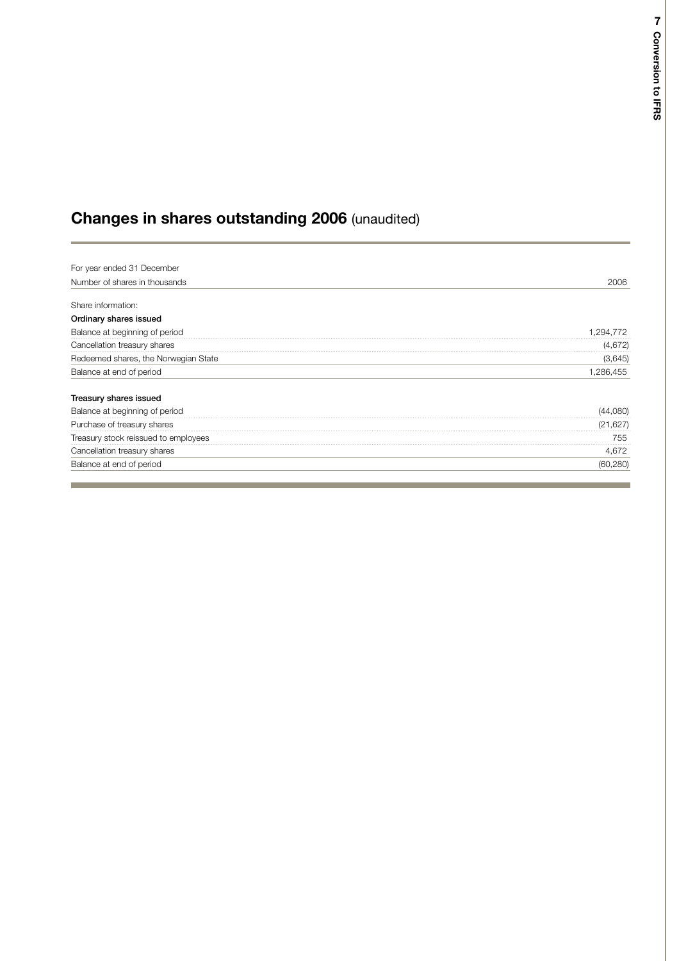## **Changes in shares outstanding 2006** (unaudited)

| For year ended 31 December           |           |
|--------------------------------------|-----------|
| Number of shares in thousands        | 2006      |
| Share information:                   |           |
| Ordinary shares issued               |           |
| Balance at beginning of period       | .294.772  |
| Cancellation treasury shares         | (4,672)   |
| Redeemed shares, the Norwegian State | (3,645)   |
| Balance at end of period             | 1,286,455 |
| Treasury shares issued               |           |
| Balance at beginning of period       | (44,080)  |
| Purchase of treasury shares          | (21, 627) |
| Treasury stock reissued to employees | 755       |
| Cancellation treasury shares         | 4,672     |
| Balance at end of period             | (60,280)  |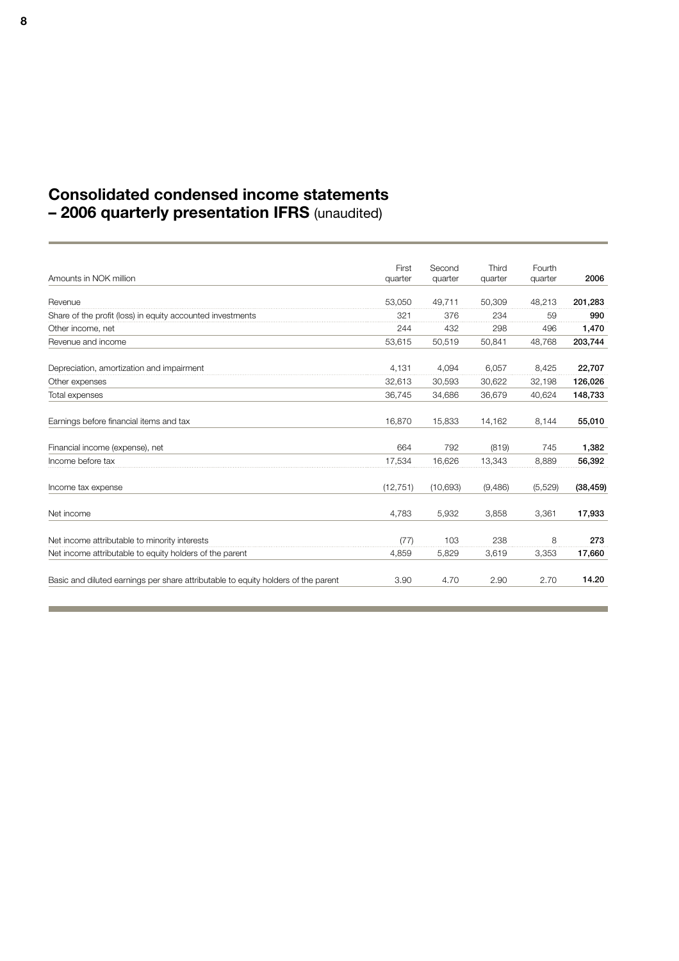## **Consolidated condensed income statements – 2006 quarterly presentation IFRS** (unaudited)

|                                                                                   | First     | Second   | Third   | Fourth  |           |
|-----------------------------------------------------------------------------------|-----------|----------|---------|---------|-----------|
| Amounts in NOK million                                                            | quarter   | quarter  | quarter | quarter | 2006      |
| Revenue                                                                           | 53,050    | 49.711   | 50,309  | 48,213  | 201,283   |
| Share of the profit (loss) in equity accounted investments                        | 321       | 376      | 234     | 59      | 990       |
| Other income, net                                                                 | 244       | 432      | 298     | 496     | 1,470     |
| Revenue and income                                                                | 53.615    | 50.519   | 50.841  | 48.768  | 203,744   |
| Depreciation, amortization and impairment                                         | 4,131     | 4,094    | 6,057   | 8,425   | 22,707    |
| Other expenses                                                                    | 32.613    | 30,593   | 30,622  | 32,198  | 126,026   |
| Total expenses                                                                    | 36,745    | 34,686   | 36,679  | 40,624  | 148,733   |
| Earnings before financial items and tax                                           | 16,870    | 15,833   | 14,162  | 8,144   | 55,010    |
| Financial income (expense), net                                                   | 664       | 792      | (819)   | 745     | 1,382     |
| Income before tax                                                                 | 17,534    | 16.626   | 13.343  | 8.889   | 56,392    |
| Income tax expense                                                                | (12, 751) | (10,693) | (9,486) | (5,529) | (38, 459) |
| Net income                                                                        | 4.783     | 5.932    | 3.858   | 3.361   | 17,933    |
| Net income attributable to minority interests                                     | (77)      | 103      | 238     | 8       | 273       |
| Net income attributable to equity holders of the parent                           | 4,859     | 5,829    | 3,619   | 3,353   | 17,660    |
| Basic and diluted earnings per share attributable to equity holders of the parent | 3.90      | 4.70     | 2.90    | 2.70    | 14.20     |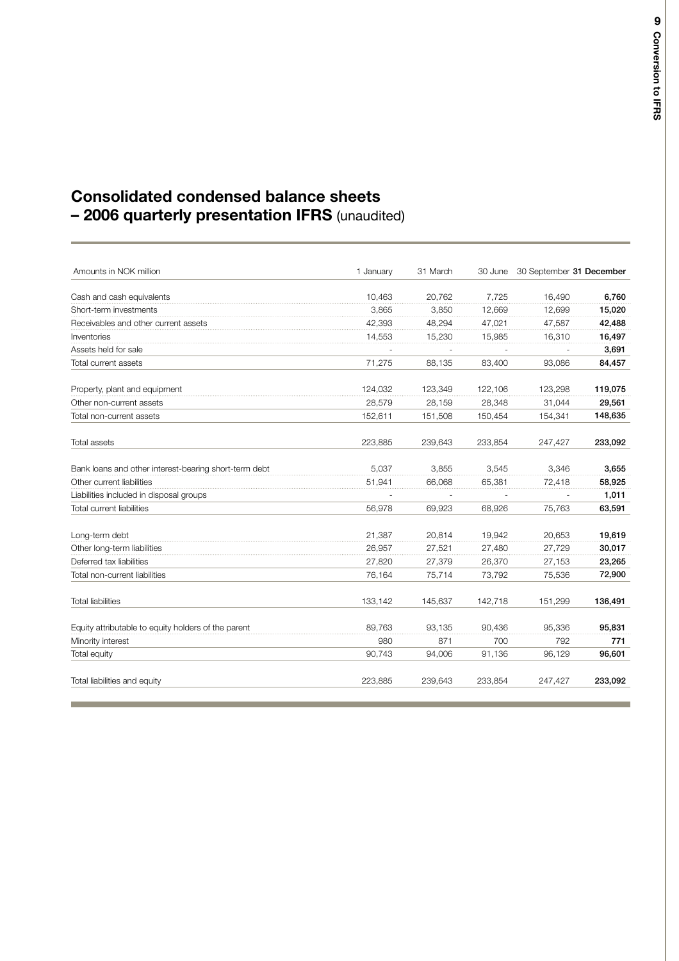## **Consolidated condensed balance sheets – 2006 quarterly presentation IFRS** (unaudited)

| Amounts in NOK million                                | 1 January | 31 March | 30 June | 30 September 31 December |         |
|-------------------------------------------------------|-----------|----------|---------|--------------------------|---------|
| Cash and cash equivalents                             | 10,463    | 20,762   | 7.725   | 16.490                   | 6,760   |
| Short-term investments                                | 3.865     | 3.850    | 12,669  | 12,699                   | 15,020  |
| Receivables and other current assets                  | 42,393    | 48,294   | 47,021  | 47,587                   | 42,488  |
| Inventories                                           | 14,553    | 15,230   | 15,985  | 16,310                   | 16,497  |
| Assets held for sale                                  |           |          |         |                          | 3,691   |
| Total current assets                                  | 71,275    | 88,135   | 83,400  | 93,086                   | 84,457  |
| Property, plant and equipment                         | 124,032   | 123,349  | 122,106 | 123,298                  | 119,075 |
| Other non-current assets                              | 28,579    | 28,159   | 28,348  | 31,044                   | 29,561  |
| Total non-current assets                              | 152,611   | 151,508  | 150,454 | 154,341                  | 148,635 |
| Total assets                                          | 223,885   | 239,643  | 233,854 | 247,427                  | 233,092 |
| Bank loans and other interest-bearing short-term debt | 5,037     | 3,855    | 3,545   | 3,346                    | 3,655   |
| Other current liabilities                             | 51,941    | 66,068   | 65,381  | 72,418                   | 58,925  |
| Liabilities included in disposal groups               |           |          |         |                          | 1,011   |
| <b>Total current liabilities</b>                      | 56.978    | 69.923   | 68.926  | 75.763                   | 63,591  |
| Long-term debt                                        | 21,387    | 20.814   | 19,942  | 20,653                   | 19,619  |
| Other long-term liabilities                           | 26.957    | 27,521   | 27,480  | 27.729                   | 30,017  |
| Deferred tax liabilities                              | 27,820    | 27,379   | 26,370  | 27,153                   | 23,265  |
| Total non-current liabilities                         | 76,164    | 75,714   | 73,792  | 75,536                   | 72,900  |
| <b>Total liabilities</b>                              | 133,142   | 145.637  | 142.718 | 151,299                  | 136,491 |
| Equity attributable to equity holders of the parent   | 89.763    | 93.135   | 90,436  | 95,336                   | 95,831  |
| Minority interest                                     | 980       | 871      | 700     | 792                      | 771     |
| Total equity                                          | 90,743    | 94,006   | 91,136  | 96,129                   | 96,601  |
| Total liabilities and equity                          | 223,885   | 239,643  | 233,854 | 247,427                  | 233,092 |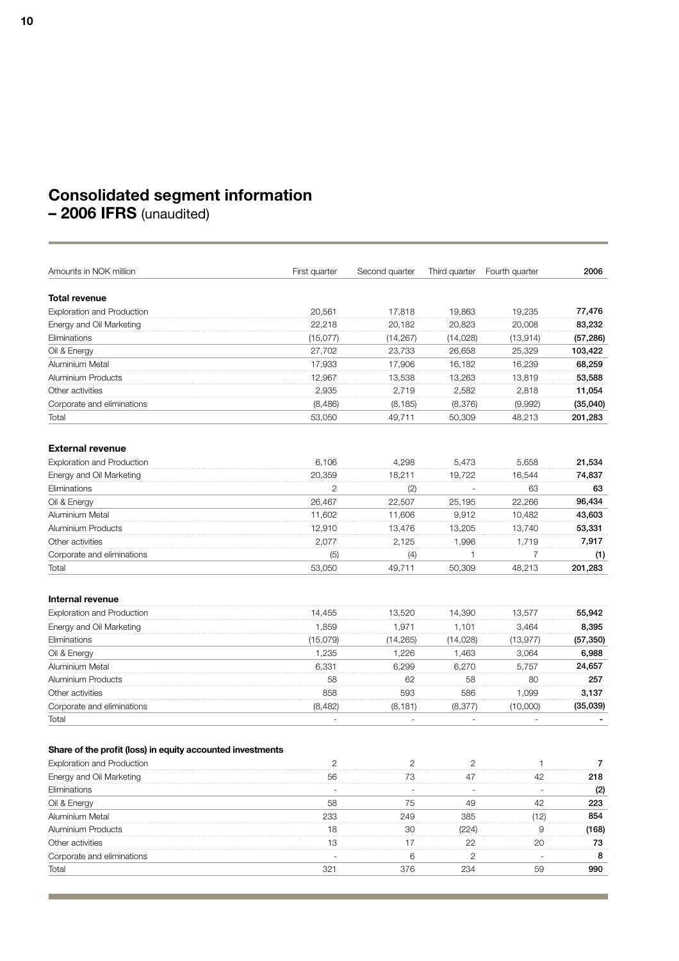## **Consolidated segment information**

**– 2006 IFRS** (unaudited)

| Amounts in NOK million                                     | First quarter | Second quarter | Third quarter | Fourth quarter | 2006      |
|------------------------------------------------------------|---------------|----------------|---------------|----------------|-----------|
| Total revenue                                              |               |                |               |                |           |
| <b>Exploration and Production</b>                          | 20,561        | 17,818         | 19,863        | 19,235         | 77,476    |
| Energy and Oil Marketing                                   | 22.218        | 20,182         | 20,823        | 20,008         | 83,232    |
| Eliminations                                               | (15,077)      | (14, 267)      | (14, 028)     | (13, 914)      | (57, 286) |
| Oil & Energy                                               | 27,702        | 23,733         | 26,658        | 25,329         | 103,422   |
| Aluminium Metal                                            | 17,933        | 17,906         | 16,182        | 16,239         | 68,259    |
| <b>Aluminium Products</b>                                  | 12,967        | 13,538         | 13,263        | 13,819         | 53,588    |
| Other activities                                           | 2,935         | 2,719          | 2,582         | 2,818          | 11,054    |
| Corporate and eliminations                                 | (8,486)       | (8, 185)       | (8,376)       | (9,992)        | (35,040)  |
| Total                                                      | 53,050        | 49,711         | 50,309        | 48,213         | 201,283   |
| <b>External revenue</b>                                    |               |                |               |                |           |
| <b>Exploration and Production</b>                          | 6,106         | 4,298          | 5,473         | 5,658          | 21,534    |
| Energy and Oil Marketing                                   | 20,359        | 18,211         | 19,722        | 16,544         | 74,837    |
| Eliminations                                               | 2             | (2)            |               | 63             | 63        |
| Oil & Energy                                               | 26,467        | 22,507         | 25,195        | 22,266         | 96,434    |
| Aluminium Metal                                            | 11.602        | 11,606         | 9,912         | 10,482         | 43,603    |
| Aluminium Products                                         | 12,910        | 13,476         | 13,205        | 13,740         | 53,331    |
| Other activities                                           | 2,077         | 2,125          | 1,996         | 1,719          | 7,917     |
| Corporate and eliminations                                 | (5)           | (4)            |               | 7              | (1)       |
| Total                                                      | 53,050        | 49.711         | 50,309        | 48,213         | 201,283   |
| Internal revenue                                           |               |                |               |                |           |
| <b>Exploration and Production</b>                          | 14,455        | 13,520         | 14,390        | 13,577         | 55,942    |
| Energy and Oil Marketing                                   | 1,859         | 1,971          | 1,101         | 3,464          | 8,395     |
| Eliminations                                               | (15,079)      | (14, 265)      | (14,028)      | (13, 977)      | (57, 350) |
| Oil & Energy                                               | 1,235         | 1,226          | 1,463         | 3,064          | 6,988     |
| Aluminium Metal                                            | 6,331         | 6,299          | 6,270         | 5,757          | 24,657    |
| Aluminium Products                                         | 58            | 62             | 58            | 80             | 257       |
| Other activities                                           | 858           | 593            | 586           | 1,099          | 3,137     |
| Corporate and eliminations                                 | (8,482)       | (8, 181)       | (8, 377)      | (10,000)       | (35,039)  |
| Total                                                      |               |                |               |                |           |
| Share of the profit (loss) in equity accounted investments |               |                |               |                |           |
| <b>Exploration and Production</b>                          | $\mathbf{2}$  | $\overline{c}$ | $\mathbf{2}$  | 1              | 7         |
| Energy and Oil Marketing                                   | 56            | 73             | 47            | 42             | 218       |
| Eliminations                                               |               |                |               |                | (2)       |
| Oil & Energy                                               | 58            | 75             | 49            | 42             | 223       |
| Aluminium Metal                                            | 233           | 249            | 385           | (12)           | 854       |
| Aluminium Products                                         | 18            | 30             | (224)         | 9              | (168)     |
| Other activities                                           | 13            | 17             | 22            | 20             | 73        |
| Corporate and eliminations                                 |               | 6              | 2             |                | 8         |
| Total                                                      | 321           | 376            | 234           | 59             | 990       |

and the state of the state of the state of the state of the state of the state of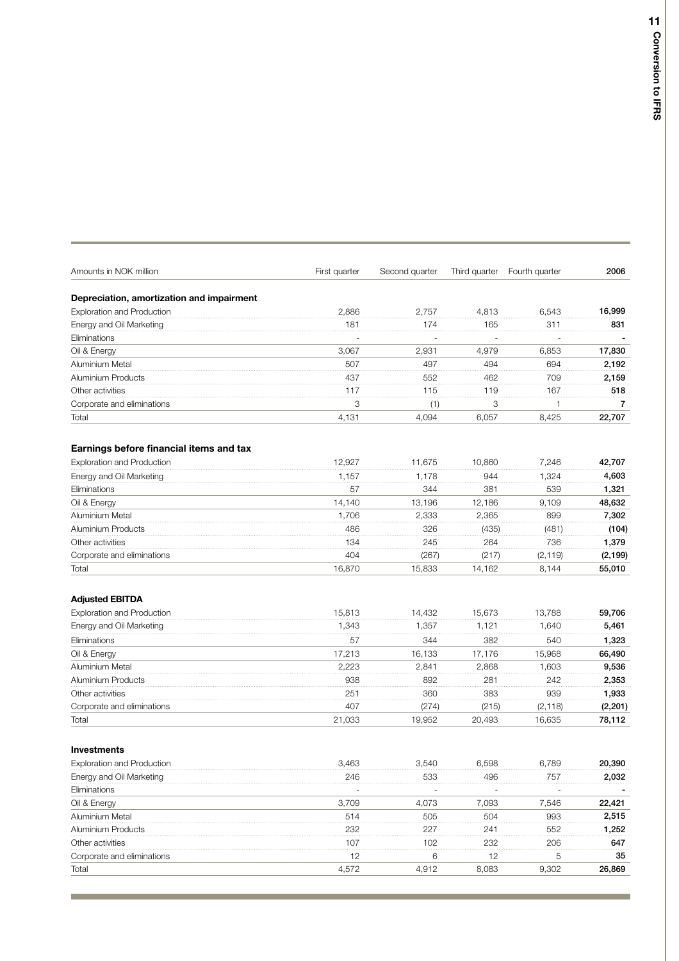| Amounts in NOK million                    | First quarter | Second quarter | Third quarter | Fourth quarter | 2006     |
|-------------------------------------------|---------------|----------------|---------------|----------------|----------|
| Depreciation, amortization and impairment |               |                |               |                |          |
| <b>Exploration and Production</b>         | 2,886         | 2,757          | 4,813         | 6,543          | 16,999   |
| Energy and Oil Marketing                  | 181           | 174            | 165           | 311            | 831      |
| Eliminations                              |               |                |               |                |          |
| Oil & Energy                              | 3,067         | 2,931          | 4,979         | 6,853          | 17,830   |
| Aluminium Metal                           | 507           | 497            | 494           | 694            | 2,192    |
| Aluminium Products                        | 437           | 552            | 462           | 709            | 2.159    |
| Other activities                          | 117           | 115            | 119           | 167            | 518      |
| Corporate and eliminations                | 3             | (1)            | 3             | 1              | 7        |
| Total                                     | 4,131         | 4,094          | 6,057         | 8,425          | 22,707   |
| Earnings before financial items and tax   |               |                |               |                |          |
| <b>Exploration and Production</b>         | 12,927        | 11,675         | 10,860        | 7,246          | 42,707   |
| Energy and Oil Marketing                  | 1,157         | 1,178          | 944           | 1,324          | 4,603    |
| Eliminations                              | 57            | 344            | 381           | 539            | 1,321    |
| Oil & Energy                              | 14,140        | 13,196         | 12,186        | 9,109          | 48,632   |
| Aluminium Metal                           | 1,706         | 2,333          | 2,365         | 899            | 7,302    |
| Aluminium Products                        | 486           | 326            | (435)         | (481)          | (104)    |
| Other activities                          | 134           | 245            | 264           | 736            | 1,379    |
| Corporate and eliminations                | 404           | (267)          | (217)         | (2, 119)       | (2, 199) |
| Total                                     | 16,870        | 15,833         | 14,162        | 8,144          | 55,010   |
| <b>Adjusted EBITDA</b>                    |               |                |               |                |          |
| <b>Exploration and Production</b>         | 15,813        | 14,432         | 15,673        | 13,788         | 59,706   |
| Energy and Oil Marketing                  | 1,343         | 1,357          | 1,121         | 1,640          | 5,461    |
| Eliminations                              | 57            | 344            | 382           | 540            | 1,323    |
| Oil & Energy                              | 17,213        | 16,133         | 17,176        | 15,968         | 66,490   |
| Aluminium Metal                           | 2,223         | 2,841          | 2,868         | 1,603          | 9,536    |
| Aluminium Products                        | 938           | 892            | 281           | 242            | 2,353    |
| Other activities                          | 251           | 360            | 383           | 939            | 1,933    |
| Corporate and eliminations                | 407           | (274)          | (215)         | (2, 118)       | (2, 201) |
| Total                                     | 21,033        | 19,952         | 20,493        | 16,635         | 78,112   |
| <b>Investments</b>                        |               |                |               |                |          |
| <b>Exploration and Production</b>         | 3,463         | 3,540          | 6,598         | 6,789          | 20,390   |
| Energy and Oil Marketing                  | 246           | 533            | 496           | 757            | 2,032    |
| Eliminations                              |               |                |               |                |          |
| Oil & Energy                              | 3,709         | 4,073          | 7,093         | 7,546          | 22,421   |
| Aluminium Metal                           | 514           | 505            | 504           | 993            | 2,515    |
| Aluminium Products                        | 232           | 227            | 241           | 552            | 1,252    |
| Other activities                          | 107           | 102            | 232           | 206            | 647      |
| Corporate and eliminations                | 12            | 6              | 12            | 5              | 35       |
| Total                                     | 4,572         | 4,912          | 8,083         | 9,302          | 26,869   |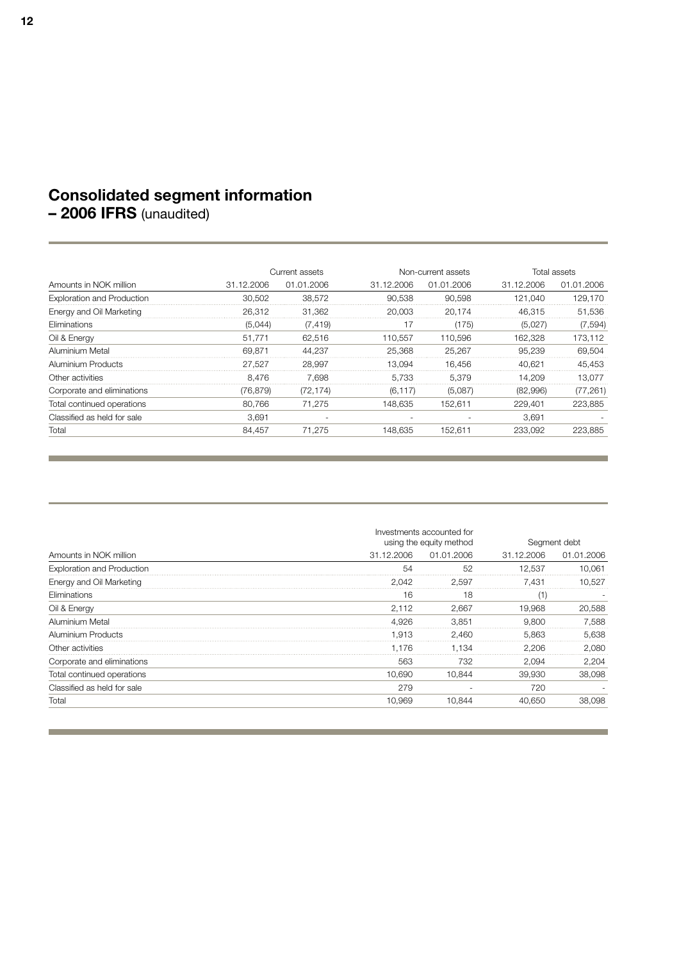## **Consolidated segment information**

**– 2006 IFRS** (unaudited)

|                                   |            | Current assets |            | Non-current assets |            | Total assets |  |
|-----------------------------------|------------|----------------|------------|--------------------|------------|--------------|--|
| Amounts in NOK million            | 31.12.2006 | 01.01.2006     | 31.12.2006 | 01.01.2006         | 31.12.2006 | 01.01.2006   |  |
| <b>Exploration and Production</b> | 30.502     | 38.572         | 90.538     | 90.598             | 121.040    | 129.170      |  |
| Energy and Oil Marketing          | 26.312     | 31.362         | 20.003     | 20.174             | 46.315     | 51,536       |  |
| Eliminations                      | (5.044)    | (7, 419)       | 17         | (175)              | (5.027)    | (7,594)      |  |
| Oil & Energy                      | 51.771     | 62.516         | 110.557    | 110.596            | 162.328    | 173.112      |  |
| Aluminium Metal                   | 69.871     | 44.237         | 25.368     | 25.267             | 95.239     | 69.504       |  |
| Aluminium Products                | 27.527     | 28.997         | 13.094     | 16.456             | 40.621     | 45.453       |  |
| Other activities                  | 8.476      | 7.698          | 5.733      | 5.379              | 14.209     | 13.077       |  |
| Corporate and eliminations        | (76,879)   | (72, 174)      | (6, 117)   | (5,087)            | (82,996)   | (77, 261)    |  |
| Total continued operations        | 80.766     | 71.275         | 148.635    | 152.611            | 229,401    | 223.885      |  |
| Classified as held for sale       | 3.691      |                |            |                    | 3.691      |              |  |
| Total                             | 84.457     | 71.275         | 148.635    | 152.611            | 233.092    | 223.885      |  |

|                                   | Investments accounted for<br>using the equity method | Segment debt |            |            |
|-----------------------------------|------------------------------------------------------|--------------|------------|------------|
| Amounts in NOK million            | 31.12.2006                                           | 01.01.2006   | 31.12.2006 | 01.01.2006 |
| <b>Exploration and Production</b> | 54                                                   | 52           | 12.537     | 10.061     |
| Energy and Oil Marketing          | 2,042                                                | 2,597        | 7.431      | 10.527     |
| Eliminations                      | 16                                                   | 18           |            |            |
| Oil & Energy                      | 2.112                                                | 2.667        | 19.968     | 20,588     |
| Aluminium Metal                   | 4.926                                                | 3.851        | 9.800      | 7.588      |
| Aluminium Products                | 1.913                                                | 2.460        | 5.863      | 5,638      |
| Other activities                  | 1.176                                                | 1.134        | 2.206      | 2.080      |
| Corporate and eliminations        | 563                                                  | 732          | 2.094      | 2,204      |
| Total continued operations        | 10.690                                               | 10.844       | 39,930     | 38,098     |
| Classified as held for sale       | 279                                                  |              | 720        |            |
| Total                             | 10.969                                               | 10.844       | 40,650     | 38,098     |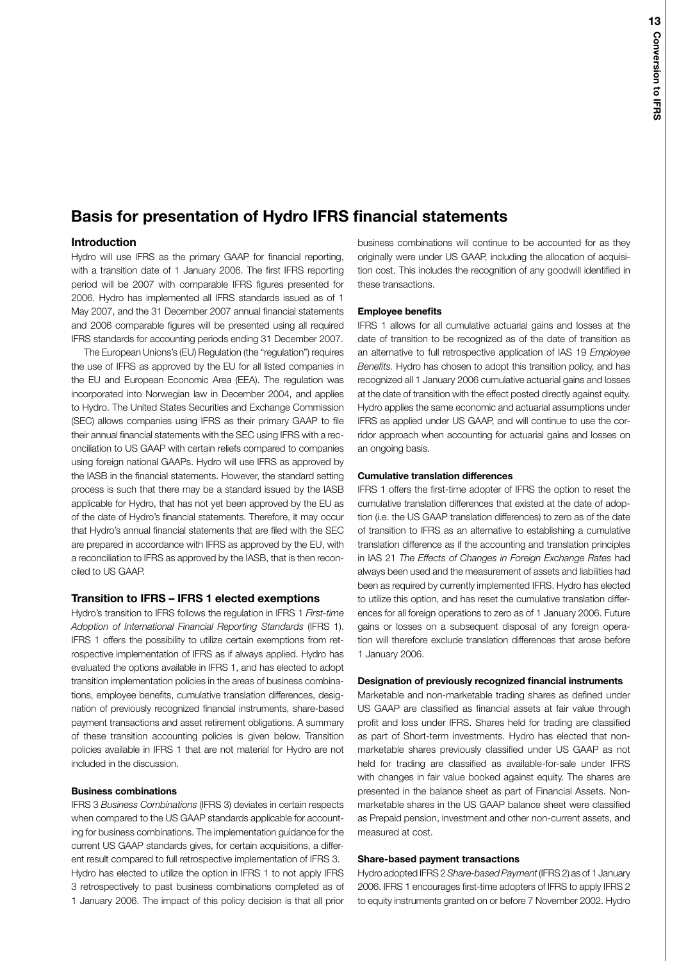## **Basis for presentation of Hydro IFRS financial statements**

## **Introduction**

Hydro will use IFRS as the primary GAAP for financial reporting, with a transition date of 1 January 2006. The first IFRS reporting period will be 2007 with comparable IFRS figures presented for 2006. Hydro has implemented all IFRS standards issued as of 1 May 2007, and the 31 December 2007 annual financial statements and 2006 comparable figures will be presented using all required IFRS standards for accounting periods ending 31 December 2007.

The European Unions's (EU) Regulation (the "regulation") requires the use of IFRS as approved by the EU for all listed companies in the EU and European Economic Area (EEA). The regulation was incorporated into Norwegian law in December 2004, and applies to Hydro. The United States Securities and Exchange Commission (SEC) allows companies using IFRS as their primary GAAP to file their annual financial statements with the SEC using IFRS with a reconciliation to US GAAP with certain reliefs compared to companies using foreign national GAAPs. Hydro will use IFRS as approved by the IASB in the financial statements. However, the standard setting process is such that there may be a standard issued by the IASB applicable for Hydro, that has not yet been approved by the EU as of the date of Hydro's financial statements. Therefore, it may occur that Hydro's annual financial statements that are filed with the SEC are prepared in accordance with IFRS as approved by the EU, with a reconciliation to IFRS as approved by the IASB, that is then reconciled to US GAAP.

## **Transition to IFRS – IFRS 1 elected exemptions**

Hydro's transition to IFRS follows the regulation in IFRS 1 *First-time Adoption of International Financial Reporting Standards* (IFRS 1). IFRS 1 offers the possibility to utilize certain exemptions from retrospective implementation of IFRS as if always applied. Hydro has evaluated the options available in IFRS 1, and has elected to adopt transition implementation policies in the areas of business combinations, employee benefits, cumulative translation differences, designation of previously recognized financial instruments, share-based payment transactions and asset retirement obligations. A summary of these transition accounting policies is given below. Transition policies available in IFRS 1 that are not material for Hydro are not included in the discussion.

## **Business combinations**

IFRS 3 *Business Combinations* (IFRS 3) deviates in certain respects when compared to the US GAAP standards applicable for accounting for business combinations. The implementation guidance for the current US GAAP standards gives, for certain acquisitions, a different result compared to full retrospective implementation of IFRS 3. Hydro has elected to utilize the option in IFRS 1 to not apply IFRS 3 retrospectively to past business combinations completed as of 1 January 2006. The impact of this policy decision is that all prior

business combinations will continue to be accounted for as they originally were under US GAAP, including the allocation of acquisition cost. This includes the recognition of any goodwill identified in these transactions.

## **Employee benefits**

IFRS 1 allows for all cumulative actuarial gains and losses at the date of transition to be recognized as of the date of transition as an alternative to full retrospective application of IAS 19 *Employee Benefits.* Hydro has chosen to adopt this transition policy, and has recognized all 1 January 2006 cumulative actuarial gains and losses at the date of transition with the effect posted directly against equity. Hydro applies the same economic and actuarial assumptions under IFRS as applied under US GAAP, and will continue to use the corridor approach when accounting for actuarial gains and losses on an ongoing basis.

## **Cumulative translation differences**

IFRS 1 offers the first-time adopter of IFRS the option to reset the cumulative translation differences that existed at the date of adoption (i.e. the US GAAP translation differences) to zero as of the date of transition to IFRS as an alternative to establishing a cumulative translation difference as if the accounting and translation principles in IAS 21 *The Effects of Changes in Foreign Exchange Rates* had always been used and the measurement of assets and liabilities had been as required by currently implemented IFRS. Hydro has elected to utilize this option, and has reset the cumulative translation differences for all foreign operations to zero as of 1 January 2006. Future gains or losses on a subsequent disposal of any foreign operation will therefore exclude translation differences that arose before 1 January 2006.

## **Designation of previously recognized financial instruments**

Marketable and non-marketable trading shares as defined under US GAAP are classified as financial assets at fair value through profit and loss under IFRS. Shares held for trading are classified as part of Short-term investments. Hydro has elected that nonmarketable shares previously classified under US GAAP as not held for trading are classified as available-for-sale under IFRS with changes in fair value booked against equity. The shares are presented in the balance sheet as part of Financial Assets. Nonmarketable shares in the US GAAP balance sheet were classified as Prepaid pension, investment and other non-current assets, and measured at cost.

## **Share-based payment transactions**

Hydro adopted IFRS2*Share-basedPayment* (IFRS2) as of 1 January 2006. IFRS 1 encourages first-time adopters of IFRS to apply IFRS 2 to equity instruments granted on or before 7 November 2002. Hydro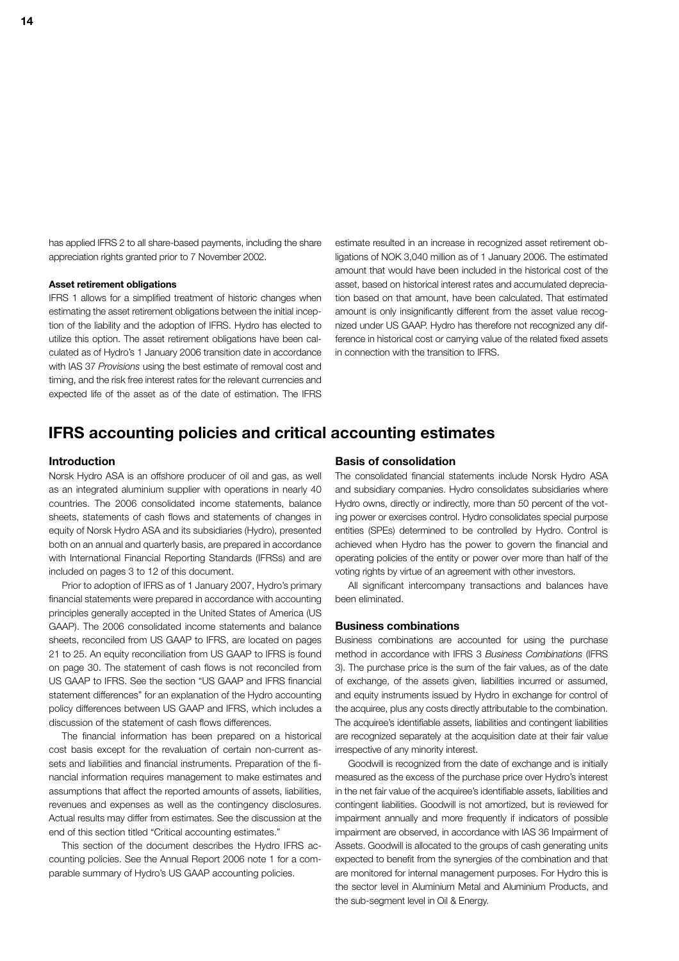has applied IFRS 2 to all share-based payments, including the share appreciation rights granted prior to 7 November 2002.

## **Asset retirement obligations**

IFRS 1 allows for a simplified treatment of historic changes when estimating the asset retirement obligations between the initial inception of the liability and the adoption of IFRS. Hydro has elected to utilize this option. The asset retirement obligations have been calculated as of Hydro's 1 January 2006 transition date in accordance with IAS 37 *Provisions* using the best estimate of removal cost and timing, and the risk free interest rates for the relevant currencies and expected life of the asset as of the date of estimation. The IFRS

estimate resulted in an increase in recognized asset retirement obligations of NOK 3,040 million as of 1 January 2006. The estimated amount that would have been included in the historical cost of the asset, based on historical interest rates and accumulated depreciation based on that amount, have been calculated. That estimated amount is only insignificantly different from the asset value recognized under US GAAP. Hydro has therefore not recognized any difference in historical cost or carrying value of the related fixed assets in connection with the transition to IFRS.

## **IFRS accounting policies and critical accounting estimates**

## **Introduction**

Norsk Hydro ASA is an offshore producer of oil and gas, as well as an integrated aluminium supplier with operations in nearly 40 countries. The 2006 consolidated income statements, balance sheets, statements of cash flows and statements of changes in equity of Norsk Hydro ASA and its subsidiaries (Hydro), presented both on an annual and quarterly basis, are prepared in accordance with International Financial Reporting Standards (IFRSs) and are included on pages 3 to 12 of this document.

Prior to adoption of IFRS as of 1 January 2007, Hydro's primary financial statements were prepared in accordance with accounting principles generally accepted in the United States of America (US GAAP). The 2006 consolidated income statements and balance sheets, reconciled from US GAAP to IFRS, are located on pages 21 to 25. An equity reconciliation from US GAAP to IFRS is found on page 30. The statement of cash flows is not reconciled from US GAAP to IFRS. See the section "US GAAP and IFRS financial statement differences" for an explanation of the Hydro accounting policy differences between US GAAP and IFRS, which includes a discussion of the statement of cash flows differences.

The financial information has been prepared on a historical cost basis except for the revaluation of certain non-current assets and liabilities and financial instruments. Preparation of the financial information requires management to make estimates and assumptions that affect the reported amounts of assets, liabilities, revenues and expenses as well as the contingency disclosures. Actual results may differ from estimates. See the discussion at the end of this section titled "Critical accounting estimates."

This section of the document describes the Hydro IFRS accounting policies. See the Annual Report 2006 note 1 for a comparable summary of Hydro's US GAAP accounting policies.

## **Basis of consolidation**

The consolidated financial statements include Norsk Hydro ASA and subsidiary companies. Hydro consolidates subsidiaries where Hydro owns, directly or indirectly, more than 50 percent of the voting power or exercises control. Hydro consolidates special purpose entities (SPEs) determined to be controlled by Hydro. Control is achieved when Hydro has the power to govern the financial and operating policies of the entity or power over more than half of the voting rights by virtue of an agreement with other investors.

All significant intercompany transactions and balances have been eliminated.

## **Business combinations**

Business combinations are accounted for using the purchase method in accordance with IFRS 3 *Business Combinations* (IFRS 3). The purchase price is the sum of the fair values, as of the date of exchange, of the assets given, liabilities incurred or assumed, and equity instruments issued by Hydro in exchange for control of the acquiree, plus any costs directly attributable to the combination. The acquiree's identifiable assets, liabilities and contingent liabilities are recognized separately at the acquisition date at their fair value irrespective of any minority interest.

Goodwill is recognized from the date of exchange and is initially measured as the excess of the purchase price over Hydro's interest in the net fair value of the acquiree's identifiable assets, liabilities and contingent liabilities. Goodwill is not amortized, but is reviewed for impairment annually and more frequently if indicators of possible impairment are observed, in accordance with IAS 36 Impairment of Assets. Goodwill is allocated to the groups of cash generating units expected to benefit from the synergies of the combination and that are monitored for internal management purposes. For Hydro this is the sector level in Aluminium Metal and Aluminium Products, and the sub-segment level in Oil & Energy.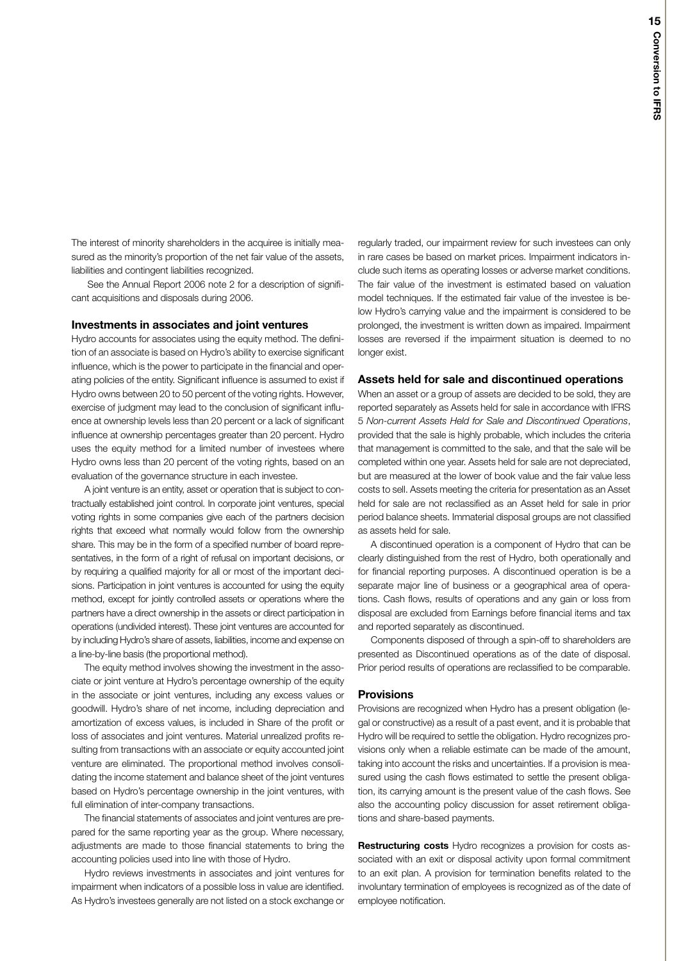The interest of minority shareholders in the acquiree is initially measured as the minority's proportion of the net fair value of the assets, liabilities and contingent liabilities recognized.

See the Annual Report 2006 note 2 for a description of significant acquisitions and disposals during 2006.

### **Investments in associates and joint ventures**

Hydro accounts for associates using the equity method. The definition of an associate is based on Hydro's ability to exercise significant influence, which is the power to participate in the financial and operating policies of the entity. Significant influence is assumed to exist if Hydro owns between 20 to 50 percent of the voting rights. However, exercise of judgment may lead to the conclusion of significant influence at ownership levels less than 20 percent or a lack of significant influence at ownership percentages greater than 20 percent. Hydro uses the equity method for a limited number of investees where Hydro owns less than 20 percent of the voting rights, based on an evaluation of the governance structure in each investee.

A joint venture is an entity, asset or operation that is subject to contractually established joint control. In corporate joint ventures, special voting rights in some companies give each of the partners decision rights that exceed what normally would follow from the ownership share. This may be in the form of a specified number of board representatives, in the form of a right of refusal on important decisions, or by requiring a qualified majority for all or most of the important decisions. Participation in joint ventures is accounted for using the equity method, except for jointly controlled assets or operations where the partners have a direct ownership in the assets or direct participation in operations (undivided interest). These joint ventures are accounted for by including Hydro's share of assets, liabilities, income and expense on a line-by-line basis (the proportional method).

The equity method involves showing the investment in the associate or joint venture at Hydro's percentage ownership of the equity in the associate or joint ventures, including any excess values or goodwill. Hydro's share of net income, including depreciation and amortization of excess values, is included in Share of the profit or loss of associates and joint ventures. Material unrealized profits resulting from transactions with an associate or equity accounted joint venture are eliminated. The proportional method involves consolidating the income statement and balance sheet of the joint ventures based on Hydro's percentage ownership in the joint ventures, with full elimination of inter-company transactions.

The financial statements of associates and joint ventures are prepared for the same reporting year as the group. Where necessary, adjustments are made to those financial statements to bring the accounting policies used into line with those of Hydro.

Hydro reviews investments in associates and joint ventures for impairment when indicators of a possible loss in value are identified. As Hydro's investees generally are not listed on a stock exchange or regularly traded, our impairment review for such investees can only in rare cases be based on market prices. Impairment indicators include such items as operating losses or adverse market conditions. The fair value of the investment is estimated based on valuation model techniques. If the estimated fair value of the investee is below Hydro's carrying value and the impairment is considered to be prolonged, the investment is written down as impaired. Impairment losses are reversed if the impairment situation is deemed to no longer exist.

## **Assets held for sale and discontinued operations**

When an asset or a group of assets are decided to be sold, they are reported separately as Assets held for sale in accordance with IFRS 5 *Non-current Assets Held for Sale and Discontinued Operations*, provided that the sale is highly probable, which includes the criteria that management is committed to the sale, and that the sale will be completed within one year. Assets held for sale are not depreciated, but are measured at the lower of book value and the fair value less costs to sell. Assets meeting the criteria for presentation as an Asset held for sale are not reclassified as an Asset held for sale in prior period balance sheets. Immaterial disposal groups are not classified as assets held for sale.

A discontinued operation is a component of Hydro that can be clearly distinguished from the rest of Hydro, both operationally and for financial reporting purposes. A discontinued operation is be a separate major line of business or a geographical area of operations. Cash flows, results of operations and any gain or loss from disposal are excluded from Earnings before financial items and tax and reported separately as discontinued.

Components disposed of through a spin-off to shareholders are presented as Discontinued operations as of the date of disposal. Prior period results of operations are reclassified to be comparable.

### **Provisions**

Provisions are recognized when Hydro has a present obligation (legal or constructive) as a result of a past event, and it is probable that Hydro will be required to settle the obligation. Hydro recognizes provisions only when a reliable estimate can be made of the amount, taking into account the risks and uncertainties. If a provision is measured using the cash flows estimated to settle the present obligation, its carrying amount is the present value of the cash flows. See also the accounting policy discussion for asset retirement obligations and share-based payments.

**Restructuring costs** Hydro recognizes a provision for costs associated with an exit or disposal activity upon formal commitment to an exit plan. A provision for termination benefits related to the involuntary termination of employees is recognized as of the date of employee notification.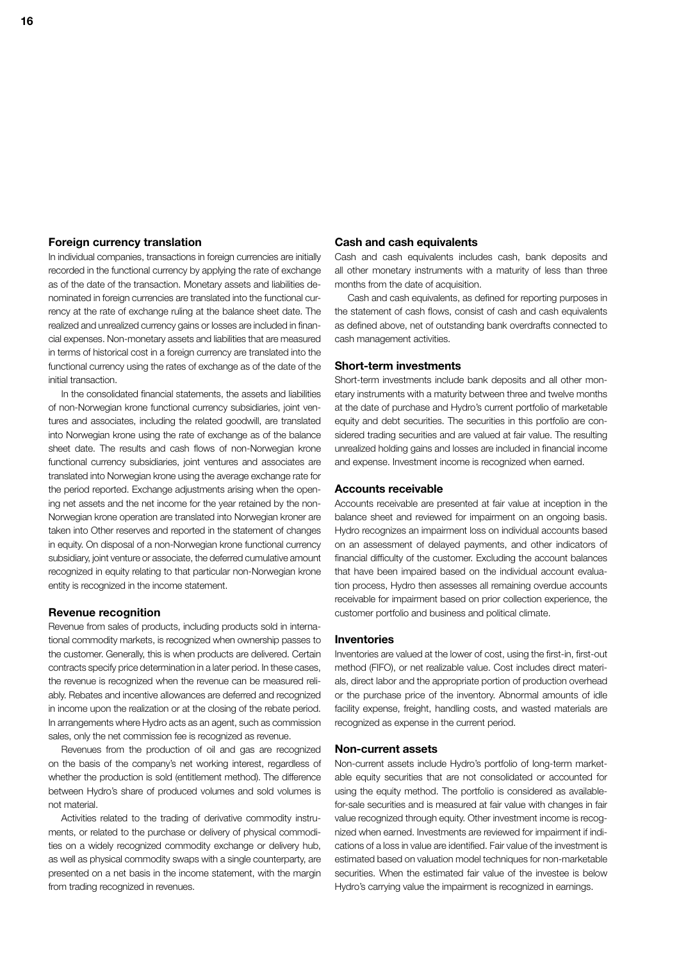## **Foreign currency translation**

In individual companies, transactions in foreign currencies are initially recorded in the functional currency by applying the rate of exchange as of the date of the transaction. Monetary assets and liabilities denominated in foreign currencies are translated into the functional currency at the rate of exchange ruling at the balance sheet date. The realized and unrealized currency gains or losses are included in financial expenses. Non-monetary assets and liabilities that are measured in terms of historical cost in a foreign currency are translated into the functional currency using the rates of exchange as of the date of the initial transaction.

In the consolidated financial statements, the assets and liabilities of non-Norwegian krone functional currency subsidiaries, joint ventures and associates, including the related goodwill, are translated into Norwegian krone using the rate of exchange as of the balance sheet date. The results and cash flows of non-Norwegian krone functional currency subsidiaries, joint ventures and associates are translated into Norwegian krone using the average exchange rate for the period reported. Exchange adjustments arising when the opening net assets and the net income for the year retained by the non-Norwegian krone operation are translated into Norwegian kroner are taken into Other reserves and reported in the statement of changes in equity. On disposal of a non-Norwegian krone functional currency subsidiary, joint venture or associate, the deferred cumulative amount recognized in equity relating to that particular non-Norwegian krone entity is recognized in the income statement.

## **Revenue recognition**

Revenue from sales of products, including products sold in international commodity markets, is recognized when ownership passes to the customer. Generally, this is when products are delivered. Certain contracts specify price determination in a later period. In these cases, the revenue is recognized when the revenue can be measured reliably. Rebates and incentive allowances are deferred and recognized in income upon the realization or at the closing of the rebate period. In arrangements where Hydro acts as an agent, such as commission sales, only the net commission fee is recognized as revenue.

Revenues from the production of oil and gas are recognized on the basis of the company's net working interest, regardless of whether the production is sold (entitlement method). The difference between Hydro's share of produced volumes and sold volumes is not material.

Activities related to the trading of derivative commodity instruments, or related to the purchase or delivery of physical commodities on a widely recognized commodity exchange or delivery hub, as well as physical commodity swaps with a single counterparty, are presented on a net basis in the income statement, with the margin from trading recognized in revenues.

## **Cash and cash equivalents**

Cash and cash equivalents includes cash, bank deposits and all other monetary instruments with a maturity of less than three months from the date of acquisition.

Cash and cash equivalents, as defined for reporting purposes in the statement of cash flows, consist of cash and cash equivalents as defined above, net of outstanding bank overdrafts connected to cash management activities.

## **Short-term investments**

Short-term investments include bank deposits and all other monetary instruments with a maturity between three and twelve months at the date of purchase and Hydro's current portfolio of marketable equity and debt securities. The securities in this portfolio are considered trading securities and are valued at fair value. The resulting unrealized holding gains and losses are included in financial income and expense. Investment income is recognized when earned.

### **Accounts receivable**

Accounts receivable are presented at fair value at inception in the balance sheet and reviewed for impairment on an ongoing basis. Hydro recognizes an impairment loss on individual accounts based on an assessment of delayed payments, and other indicators of financial difficulty of the customer. Excluding the account balances that have been impaired based on the individual account evaluation process, Hydro then assesses all remaining overdue accounts receivable for impairment based on prior collection experience, the customer portfolio and business and political climate.

#### **Inventories**

Inventories are valued at the lower of cost, using the first-in, first-out method (FIFO), or net realizable value. Cost includes direct materials, direct labor and the appropriate portion of production overhead or the purchase price of the inventory. Abnormal amounts of idle facility expense, freight, handling costs, and wasted materials are recognized as expense in the current period.

### **Non-current assets**

Non-current assets include Hydro's portfolio of long-term marketable equity securities that are not consolidated or accounted for using the equity method. The portfolio is considered as availablefor-sale securities and is measured at fair value with changes in fair value recognized through equity. Other investment income is recognized when earned. Investments are reviewed for impairment if indications of a loss in value are identified. Fair value of the investment is estimated based on valuation model techniques for non-marketable securities. When the estimated fair value of the investee is below Hydro's carrying value the impairment is recognized in earnings.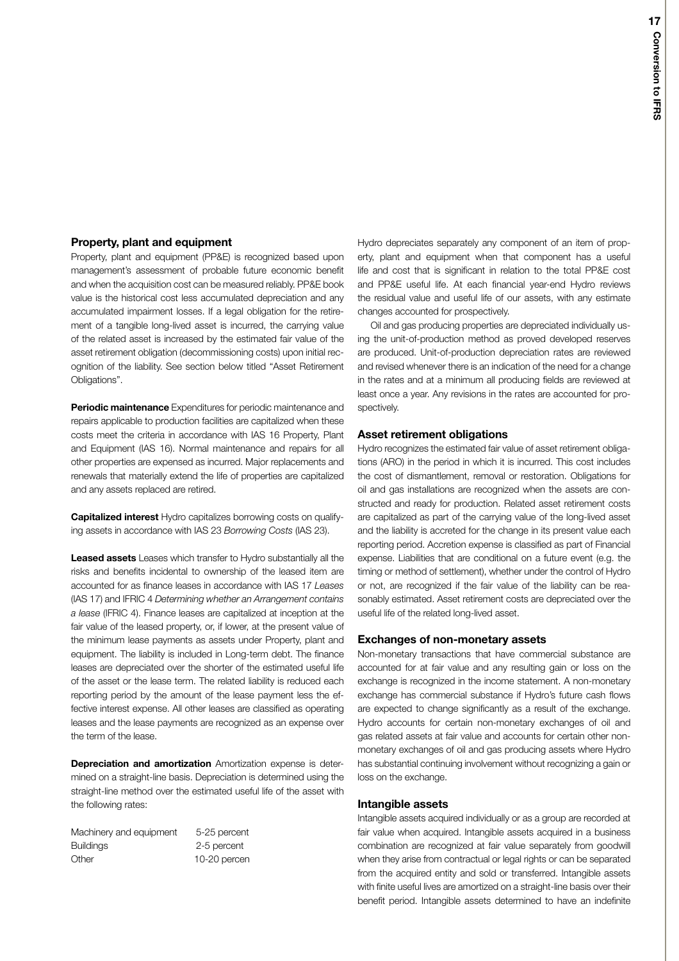## **Property, plant and equipment**

Property, plant and equipment (PP&E) is recognized based upon management's assessment of probable future economic benefit and when the acquisition cost can be measured reliably. PP&E book value is the historical cost less accumulated depreciation and any accumulated impairment losses. If a legal obligation for the retirement of a tangible long-lived asset is incurred, the carrying value of the related asset is increased by the estimated fair value of the asset retirement obligation (decommissioning costs) upon initial recognition of the liability. See section below titled "Asset Retirement Obligations".

**Periodic maintenance** Expenditures for periodic maintenance and repairs applicable to production facilities are capitalized when these costs meet the criteria in accordance with IAS 16 Property, Plant and Equipment (IAS 16). Normal maintenance and repairs for all other properties are expensed as incurred. Major replacements and renewals that materially extend the life of properties are capitalized and any assets replaced are retired.

**Capitalized interest** Hydro capitalizes borrowing costs on qualifying assets in accordance with IAS 23 *Borrowing Costs* (IAS 23).

**Leased assets** Leases which transfer to Hydro substantially all the risks and benefits incidental to ownership of the leased item are accounted for as finance leases in accordance with IAS 17 *Leases* (IAS 17) and IFRIC 4 *Determining whether an Arrangement contains a lease* (IFRIC 4). Finance leases are capitalized at inception at the fair value of the leased property, or, if lower, at the present value of the minimum lease payments as assets under Property, plant and equipment. The liability is included in Long-term debt. The finance leases are depreciated over the shorter of the estimated useful life of the asset or the lease term. The related liability is reduced each reporting period by the amount of the lease payment less the effective interest expense. All other leases are classified as operating leases and the lease payments are recognized as an expense over the term of the lease.

**Depreciation and amortization** Amortization expense is determined on a straight-line basis. Depreciation is determined using the straight-line method over the estimated useful life of the asset with the following rates:

| 5-25 percent |
|--------------|
| 2-5 percent  |
| 10-20 percen |
|              |

Hydro depreciates separately any component of an item of property, plant and equipment when that component has a useful life and cost that is significant in relation to the total PP&E cost and PP&E useful life. At each financial year-end Hydro reviews the residual value and useful life of our assets, with any estimate changes accounted for prospectively.

Oil and gas producing properties are depreciated individually using the unit-of-production method as proved developed reserves are produced. Unit-of-production depreciation rates are reviewed and revised whenever there is an indication of the need for a change in the rates and at a minimum all producing fields are reviewed at least once a year. Any revisions in the rates are accounted for prospectively.

## **Asset retirement obligations**

Hydro recognizes the estimated fair value of asset retirement obligations (ARO) in the period in which it is incurred. This cost includes the cost of dismantlement, removal or restoration. Obligations for oil and gas installations are recognized when the assets are constructed and ready for production. Related asset retirement costs are capitalized as part of the carrying value of the long-lived asset and the liability is accreted for the change in its present value each reporting period. Accretion expense is classified as part of Financial expense. Liabilities that are conditional on a future event (e.g. the timing or method of settlement), whether under the control of Hydro or not, are recognized if the fair value of the liability can be reasonably estimated. Asset retirement costs are depreciated over the useful life of the related long-lived asset.

#### **Exchanges of non-monetary assets**

Non-monetary transactions that have commercial substance are accounted for at fair value and any resulting gain or loss on the exchange is recognized in the income statement. A non-monetary exchange has commercial substance if Hydro's future cash flows are expected to change significantly as a result of the exchange. Hydro accounts for certain non-monetary exchanges of oil and gas related assets at fair value and accounts for certain other nonmonetary exchanges of oil and gas producing assets where Hydro has substantial continuing involvement without recognizing a gain or loss on the exchange.

## **Intangible assets**

Intangible assets acquired individually or as a group are recorded at fair value when acquired. Intangible assets acquired in a business combination are recognized at fair value separately from goodwill when they arise from contractual or legal rights or can be separated from the acquired entity and sold or transferred. Intangible assets with finite useful lives are amortized on a straight-line basis over their benefit period. Intangible assets determined to have an indefinite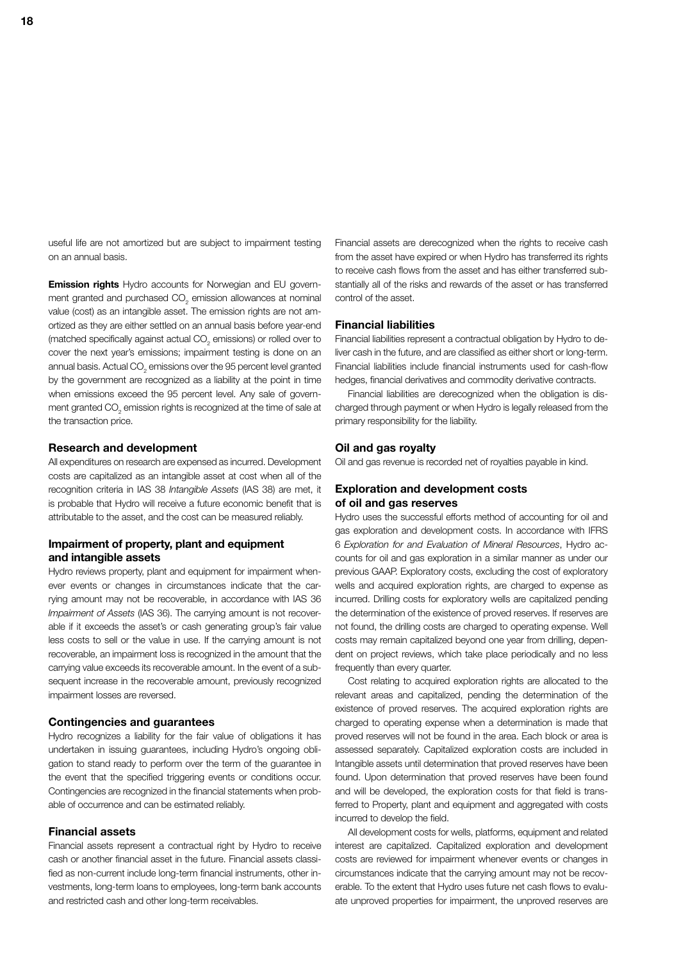useful life are not amortized but are subject to impairment testing on an annual basis.

**Emission rights** Hydro accounts for Norwegian and EU government granted and purchased CO<sub>2</sub> emission allowances at nominal value (cost) as an intangible asset. The emission rights are not amortized as they are either settled on an annual basis before year-end (matched specifically against actual CO $_{_2}$  emissions) or rolled over to cover the next year's emissions; impairment testing is done on an annual basis. Actual CO $_{_2}$  emissions over the 95 percent level granted by the government are recognized as a liability at the point in time when emissions exceed the 95 percent level. Any sale of government granted CO $_{_2}$  emission rights is recognized at the time of sale at the transaction price.

## **Research and development**

All expenditures on research are expensed as incurred. Development costs are capitalized as an intangible asset at cost when all of the recognition criteria in IAS 38 *Intangible Assets* (IAS 38) are met, it is probable that Hydro will receive a future economic benefit that is attributable to the asset, and the cost can be measured reliably.

## **Impairment of property, plant and equipment and intangible assets**

Hydro reviews property, plant and equipment for impairment whenever events or changes in circumstances indicate that the carrying amount may not be recoverable, in accordance with IAS 36 *Impairment of Assets* (IAS 36). The carrying amount is not recoverable if it exceeds the asset's or cash generating group's fair value less costs to sell or the value in use. If the carrying amount is not recoverable, an impairment loss is recognized in the amount that the carrying value exceeds its recoverable amount. In the event of a subsequent increase in the recoverable amount, previously recognized impairment losses are reversed.

## **Contingencies and guarantees**

Hydro recognizes a liability for the fair value of obligations it has undertaken in issuing guarantees, including Hydro's ongoing obligation to stand ready to perform over the term of the guarantee in the event that the specified triggering events or conditions occur. Contingencies are recognized in the financial statements when probable of occurrence and can be estimated reliably.

## **Financial assets**

Financial assets represent a contractual right by Hydro to receive cash or another financial asset in the future. Financial assets classified as non-current include long-term financial instruments, other investments, long-term loans to employees, long-term bank accounts and restricted cash and other long-term receivables.

Financial assets are derecognized when the rights to receive cash from the asset have expired or when Hydro has transferred its rights to receive cash flows from the asset and has either transferred substantially all of the risks and rewards of the asset or has transferred control of the asset.

## **Financial liabilities**

Financial liabilities represent a contractual obligation by Hydro to deliver cash in the future, and are classified as either short or long-term. Financial liabilities include financial instruments used for cash-flow hedges, financial derivatives and commodity derivative contracts.

Financial liabilities are derecognized when the obligation is discharged through payment or when Hydro is legally released from the primary responsibility for the liability.

## **Oil and gas royalty**

Oil and gas revenue is recorded net of royalties payable in kind.

## **Exploration and development costs of oil and gas reserves**

Hydro uses the successful efforts method of accounting for oil and gas exploration and development costs. In accordance with IFRS 6 *Exploration for and Evaluation of Mineral Resources*, Hydro accounts for oil and gas exploration in a similar manner as under our previous GAAP. Exploratory costs, excluding the cost of exploratory wells and acquired exploration rights, are charged to expense as incurred. Drilling costs for exploratory wells are capitalized pending the determination of the existence of proved reserves. If reserves are not found, the drilling costs are charged to operating expense. Well costs may remain capitalized beyond one year from drilling, dependent on project reviews, which take place periodically and no less frequently than every quarter.

Cost relating to acquired exploration rights are allocated to the relevant areas and capitalized, pending the determination of the existence of proved reserves. The acquired exploration rights are charged to operating expense when a determination is made that proved reserves will not be found in the area. Each block or area is assessed separately. Capitalized exploration costs are included in Intangible assets until determination that proved reserves have been found. Upon determination that proved reserves have been found and will be developed, the exploration costs for that field is transferred to Property, plant and equipment and aggregated with costs incurred to develop the field.

All development costs for wells, platforms, equipment and related interest are capitalized. Capitalized exploration and development costs are reviewed for impairment whenever events or changes in circumstances indicate that the carrying amount may not be recoverable. To the extent that Hydro uses future net cash flows to evaluate unproved properties for impairment, the unproved reserves are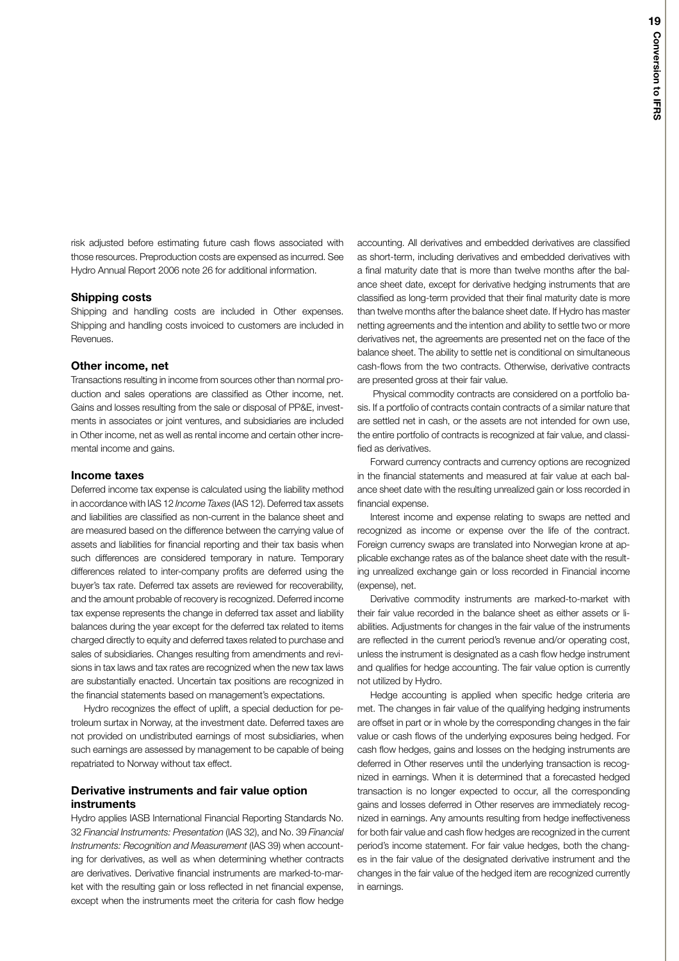risk adjusted before estimating future cash flows associated with those resources. Preproduction costs are expensed as incurred. See Hydro Annual Report 2006 note 26 for additional information.

## **Shipping costs**

Shipping and handling costs are included in Other expenses. Shipping and handling costs invoiced to customers are included in Revenues.

### **Other income, net**

Transactions resulting in income from sources other than normal production and sales operations are classified as Other income, net. Gains and losses resulting from the sale or disposal of PP&E, investments in associates or joint ventures, and subsidiaries are included in Other income, net as well as rental income and certain other incremental income and gains.

## **Income taxes**

Deferred income tax expense is calculated using the liability method in accordance with IAS 12 *Income Taxes* (IAS 12). Deferred tax assets and liabilities are classified as non-current in the balance sheet and are measured based on the difference between the carrying value of assets and liabilities for financial reporting and their tax basis when such differences are considered temporary in nature. Temporary differences related to inter-company profits are deferred using the buyer's tax rate. Deferred tax assets are reviewed for recoverability, and the amount probable of recovery is recognized. Deferred income tax expense represents the change in deferred tax asset and liability balances during the year except for the deferred tax related to items charged directly to equity and deferred taxes related to purchase and sales of subsidiaries. Changes resulting from amendments and revisions in tax laws and tax rates are recognized when the new tax laws are substantially enacted. Uncertain tax positions are recognized in the financial statements based on management's expectations.

Hydro recognizes the effect of uplift, a special deduction for petroleum surtax in Norway, at the investment date. Deferred taxes are not provided on undistributed earnings of most subsidiaries, when such earnings are assessed by management to be capable of being repatriated to Norway without tax effect.

## **Derivative instruments and fair value option instruments**

Hydro applies IASB International Financial Reporting Standards No. 32 *Financial Instruments: Presentation* (IAS 32), and No. 39 *Financial Instruments: Recognition and Measurement* (IAS 39) when accounting for derivatives, as well as when determining whether contracts are derivatives. Derivative financial instruments are marked-to-market with the resulting gain or loss reflected in net financial expense, except when the instruments meet the criteria for cash flow hedge

accounting. All derivatives and embedded derivatives are classified as short-term, including derivatives and embedded derivatives with a final maturity date that is more than twelve months after the balance sheet date, except for derivative hedging instruments that are classified as long-term provided that their final maturity date is more than twelve months after the balance sheet date. If Hydro has master netting agreements and the intention and ability to settle two or more derivatives net, the agreements are presented net on the face of the balance sheet. The ability to settle net is conditional on simultaneous cash-flows from the two contracts. Otherwise, derivative contracts are presented gross at their fair value.

Physical commodity contracts are considered on a portfolio basis. If a portfolio of contracts contain contracts of a similar nature that are settled net in cash, or the assets are not intended for own use, the entire portfolio of contracts is recognized at fair value, and classified as derivatives.

Forward currency contracts and currency options are recognized in the financial statements and measured at fair value at each balance sheet date with the resulting unrealized gain or loss recorded in financial expense.

Interest income and expense relating to swaps are netted and recognized as income or expense over the life of the contract. Foreign currency swaps are translated into Norwegian krone at applicable exchange rates as of the balance sheet date with the resulting unrealized exchange gain or loss recorded in Financial income (expense), net.

Derivative commodity instruments are marked-to-market with their fair value recorded in the balance sheet as either assets or liabilities. Adjustments for changes in the fair value of the instruments are reflected in the current period's revenue and/or operating cost, unless the instrument is designated as a cash flow hedge instrument and qualifies for hedge accounting. The fair value option is currently not utilized by Hydro.

Hedge accounting is applied when specific hedge criteria are met. The changes in fair value of the qualifying hedging instruments are offset in part or in whole by the corresponding changes in the fair value or cash flows of the underlying exposures being hedged. For cash flow hedges, gains and losses on the hedging instruments are deferred in Other reserves until the underlying transaction is recognized in earnings. When it is determined that a forecasted hedged transaction is no longer expected to occur, all the corresponding gains and losses deferred in Other reserves are immediately recognized in earnings. Any amounts resulting from hedge ineffectiveness for both fair value and cash flow hedges are recognized in the current period's income statement. For fair value hedges, both the changes in the fair value of the designated derivative instrument and the changes in the fair value of the hedged item are recognized currently in earnings.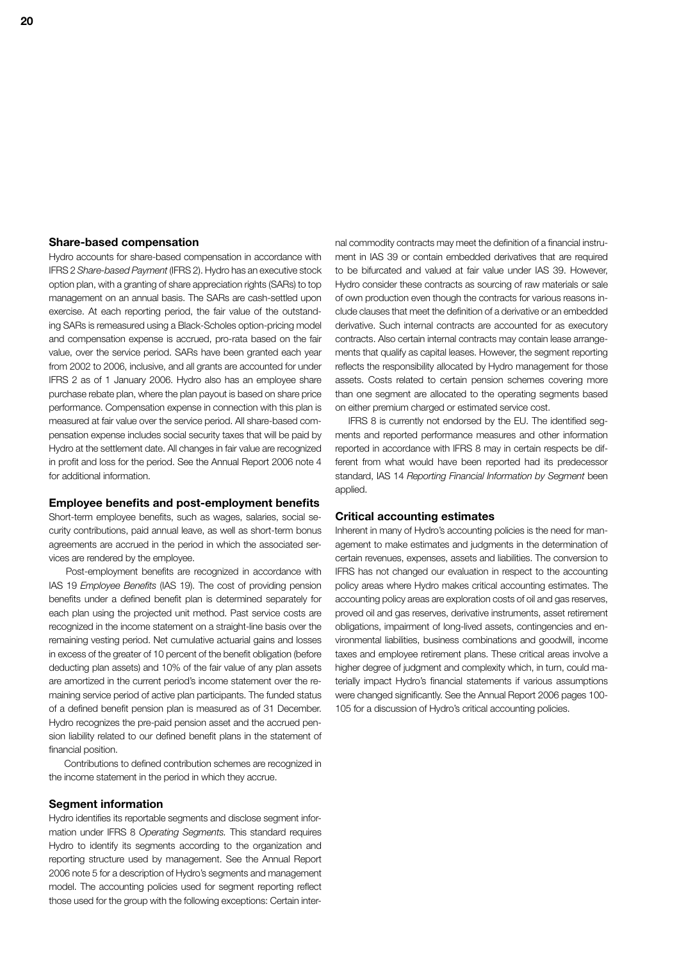## **Share-based compensation**

Hydro accounts for share-based compensation in accordance with IFRS 2 *Share-based Payment* (IFRS 2). Hydro has an executive stock option plan, with a granting of share appreciation rights (SARs) to top management on an annual basis. The SARs are cash-settled upon exercise. At each reporting period, the fair value of the outstanding SARs is remeasured using a Black-Scholes option-pricing model and compensation expense is accrued, pro-rata based on the fair value, over the service period. SARs have been granted each year from 2002 to 2006, inclusive, and all grants are accounted for under IFRS 2 as of 1 January 2006. Hydro also has an employee share purchase rebate plan, where the plan payout is based on share price performance. Compensation expense in connection with this plan is measured at fair value over the service period. All share-based compensation expense includes social security taxes that will be paid by Hydro at the settlement date. All changes in fair value are recognized in profit and loss for the period. See the Annual Report 2006 note 4 for additional information.

## **Employee benefits and post-employment benefits**

Short-term employee benefits, such as wages, salaries, social security contributions, paid annual leave, as well as short-term bonus agreements are accrued in the period in which the associated services are rendered by the employee.

Post-employment benefits are recognized in accordance with IAS 19 *Employee Benefits* (IAS 19). The cost of providing pension benefits under a defined benefit plan is determined separately for each plan using the projected unit method. Past service costs are recognized in the income statement on a straight-line basis over the remaining vesting period. Net cumulative actuarial gains and losses in excess of the greater of 10 percent of the benefit obligation (before deducting plan assets) and 10% of the fair value of any plan assets are amortized in the current period's income statement over the remaining service period of active plan participants. The funded status of a defined benefit pension plan is measured as of 31 December. Hydro recognizes the pre-paid pension asset and the accrued pension liability related to our defined benefit plans in the statement of financial position.

Contributions to defined contribution schemes are recognized in the income statement in the period in which they accrue.

## **Segment information**

Hydro identifies its reportable segments and disclose segment information under IFRS 8 *Operating Segments.* This standard requires Hydro to identify its segments according to the organization and reporting structure used by management. See the Annual Report 2006 note 5 for a description of Hydro's segments and management model. The accounting policies used for segment reporting reflect those used for the group with the following exceptions: Certain inter-

nal commodity contracts may meet the definition of a financial instrument in IAS 39 or contain embedded derivatives that are required to be bifurcated and valued at fair value under IAS 39. However, Hydro consider these contracts as sourcing of raw materials or sale of own production even though the contracts for various reasons include clauses that meet the definition of a derivative or an embedded derivative. Such internal contracts are accounted for as executory contracts. Also certain internal contracts may contain lease arrangements that qualify as capital leases. However, the segment reporting reflects the responsibility allocated by Hydro management for those assets. Costs related to certain pension schemes covering more than one segment are allocated to the operating segments based on either premium charged or estimated service cost.

IFRS 8 is currently not endorsed by the EU. The identified segments and reported performance measures and other information reported in accordance with IFRS 8 may in certain respects be different from what would have been reported had its predecessor standard, IAS 14 *Reporting Financial Information by Segment* been applied.

## **Critical accounting estimates**

Inherent in many of Hydro's accounting policies is the need for management to make estimates and judgments in the determination of certain revenues, expenses, assets and liabilities. The conversion to IFRS has not changed our evaluation in respect to the accounting policy areas where Hydro makes critical accounting estimates. The accounting policy areas are exploration costs of oil and gas reserves, proved oil and gas reserves, derivative instruments, asset retirement obligations, impairment of long-lived assets, contingencies and environmental liabilities, business combinations and goodwill, income taxes and employee retirement plans. These critical areas involve a higher degree of judgment and complexity which, in turn, could materially impact Hydro's financial statements if various assumptions were changed significantly. See the Annual Report 2006 pages 100- 105 for a discussion of Hydro's critical accounting policies.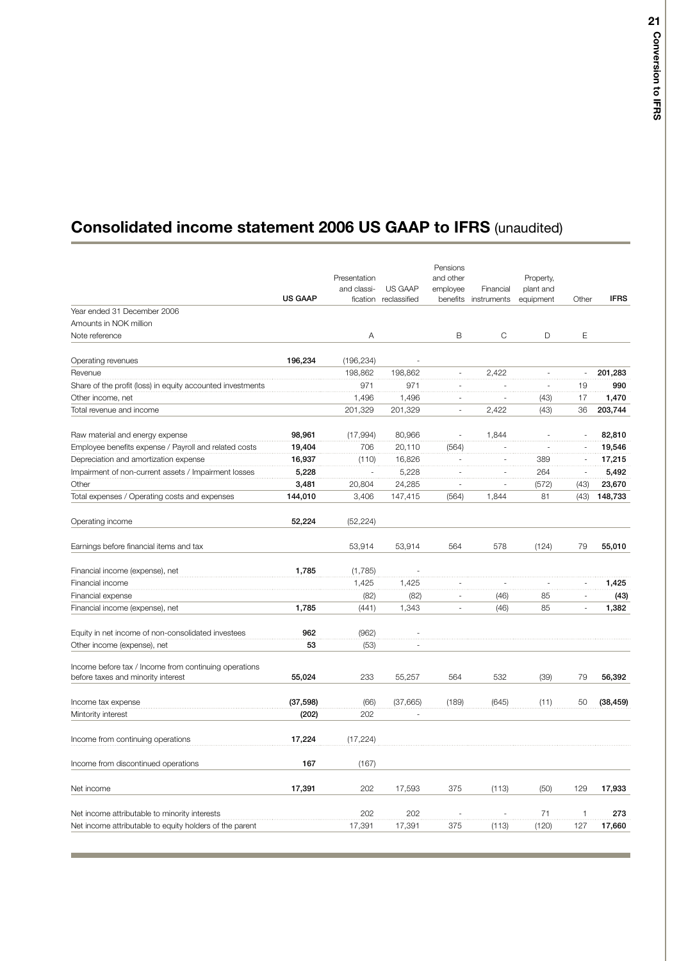## **Consolidated income statement 2006 US GAAP to IFRS** (unaudited)

|                                                            | <b>US GAAP</b> | Presentation<br>and classi- | US GAAP<br>fication reclassified | Pensions<br>and other<br>employee | Financial<br>benefits instruments | Property,<br>plant and<br>equipment | Other                    | <b>IFRS</b> |
|------------------------------------------------------------|----------------|-----------------------------|----------------------------------|-----------------------------------|-----------------------------------|-------------------------------------|--------------------------|-------------|
| Year ended 31 December 2006                                |                |                             |                                  |                                   |                                   |                                     |                          |             |
| Amounts in NOK million                                     |                |                             |                                  |                                   |                                   |                                     |                          |             |
| Note reference                                             |                | Α                           |                                  | B                                 | C                                 | D                                   | E                        |             |
| Operating revenues                                         | 196,234        | (196, 234)                  |                                  |                                   |                                   |                                     |                          |             |
| Revenue                                                    |                | 198,862                     | 198,862                          | ÷,                                | 2,422                             | $\sim$                              | $\overline{\phantom{a}}$ | 201,283     |
| Share of the profit (loss) in equity accounted investments |                | 971                         | 971                              |                                   |                                   |                                     | 19                       | 990         |
| Other income, net                                          |                | 1,496                       | 1,496                            | ä,                                |                                   | (43)                                | 17                       | 1,470       |
| Total revenue and income                                   |                | 201,329                     | 201,329                          | ä,                                | 2,422                             | (43)                                | 36                       | 203,744     |
| Raw material and energy expense                            | 98,961         | (17,994)                    | 80,966                           |                                   | 1,844                             |                                     |                          | 82,810      |
| Employee benefits expense / Payroll and related costs      | 19,404         | 706                         | 20,110                           | (564)                             |                                   | ÷,                                  | $\overline{a}$           | 19,546      |
| Depreciation and amortization expense                      | 16,937         | (110)                       | 16,826                           |                                   |                                   | 389                                 |                          | 17,215      |
| Impairment of non-current assets / Impairment losses       | 5,228          |                             | 5,228                            |                                   |                                   | 264                                 |                          | 5,492       |
| Other                                                      | 3,481          | 20,804                      | 24,285                           | ÷.                                | ÷,                                | (572)                               | (43)                     | 23,670      |
| Total expenses / Operating costs and expenses              | 144,010        | 3,406                       | 147,415                          | (564)                             | 1,844                             | 81                                  | (43)                     | 148,733     |
| Operating income                                           | 52.224         | (52, 224)                   |                                  |                                   |                                   |                                     |                          |             |
| Earnings before financial items and tax                    |                | 53,914                      | 53,914                           | 564                               | 578                               | (124)                               | 79                       | 55,010      |
| Financial income (expense), net                            | 1,785          | (1,785)                     |                                  |                                   |                                   |                                     |                          |             |
| Financial income                                           |                | 1,425                       | 1,425                            |                                   |                                   |                                     |                          | 1,425       |
| Financial expense                                          |                | (82)                        | (82)                             |                                   | (46)                              | 85                                  | i,                       | (43)        |
| Financial income (expense), net                            | 1,785          | (441)                       | 1,343                            | ä,                                | (46)                              | 85                                  | J.                       | 1,382       |
| Equity in net income of non-consolidated investees         | 962            | (962)                       |                                  |                                   |                                   |                                     |                          |             |
| Other income (expense), net                                | 53             | (53)                        |                                  |                                   |                                   |                                     |                          |             |
| Income before tax / Income from continuing operations      |                |                             |                                  |                                   |                                   |                                     |                          |             |
| before taxes and minority interest                         | 55,024         | 233                         | 55,257                           | 564                               | 532                               | (39)                                | 79                       | 56,392      |
| Income tax expense                                         | (37, 598)      | (66)                        | (37,665)                         | (189)                             | (645)                             | (11)                                | 50                       | (38, 459)   |
| Mintority interest                                         | (202)          | 202                         |                                  |                                   |                                   |                                     |                          |             |
| Income from continuing operations                          | 17,224         | (17, 224)                   |                                  |                                   |                                   |                                     |                          |             |
| Income from discontinued operations                        | 167            | (167)                       |                                  |                                   |                                   |                                     |                          |             |
| Net income                                                 | 17,391         | 202                         | 17,593                           | 375                               | (113)                             | (50)                                | 129                      | 17,933      |
| Net income attributable to minority interests              |                | 202                         | 202                              |                                   |                                   | 71                                  | 1                        | 273         |
| Net income attributable to equity holders of the parent    |                | 17,391                      | 17,391                           | 375                               | (113)                             | (120)                               | 127                      | 17,660      |
|                                                            |                |                             |                                  |                                   |                                   |                                     |                          |             |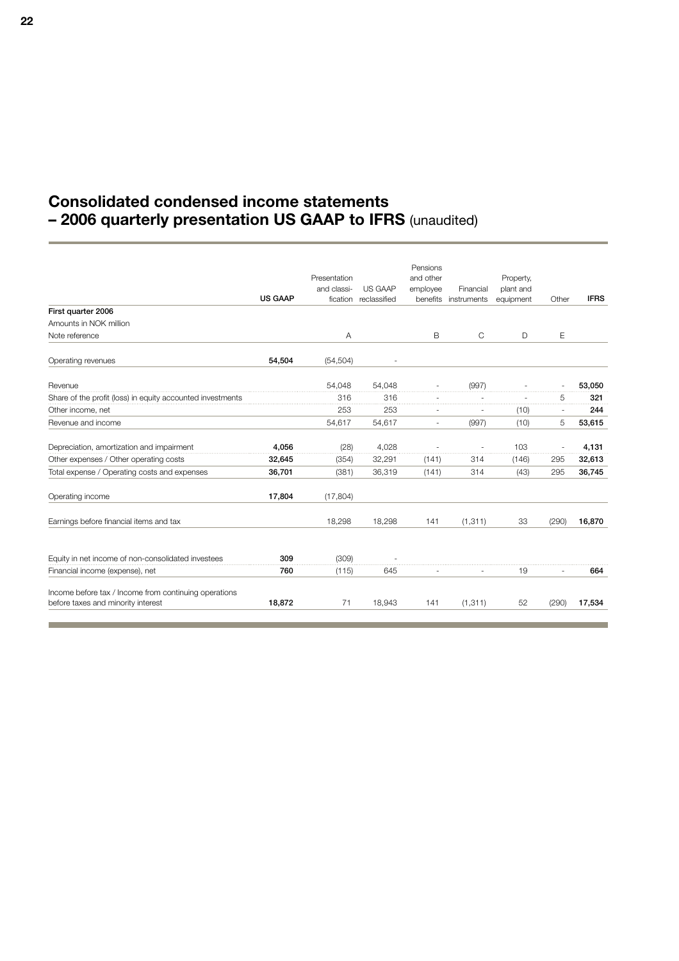## **Consolidated condensed income statements – 2006 quarterly presentation US GAAP to IFRS** (unaudited)

|                                                            |                | Presentation |              | Pensions<br>and other    |                      | Property, |       |             |
|------------------------------------------------------------|----------------|--------------|--------------|--------------------------|----------------------|-----------|-------|-------------|
|                                                            |                | and classi-  | US GAAP      | employee                 | Financial            | plant and |       |             |
|                                                            | <b>US GAAP</b> | fication     | reclassified |                          | benefits instruments | equipment | Other | <b>IFRS</b> |
| First quarter 2006                                         |                |              |              |                          |                      |           |       |             |
| Amounts in NOK million                                     |                |              |              |                          |                      |           |       |             |
| Note reference                                             |                | A            |              | B                        | C                    | D         | E     |             |
| Operating revenues                                         | 54,504         | (54, 504)    |              |                          |                      |           |       |             |
| Revenue                                                    |                | 54,048       | 54,048       |                          | (997)                |           |       | 53,050      |
| Share of the profit (loss) in equity accounted investments |                | 316          | 316          |                          |                      |           | 5     | 321         |
| Other income, net                                          |                | 253          | 253          |                          |                      | (10)      |       | 244         |
| Revenue and income                                         |                | 54,617       | 54,617       | $\overline{\phantom{a}}$ | (997)                | (10)      | 5     | 53,615      |
| Depreciation, amortization and impairment                  | 4,056          | (28)         | 4,028        |                          |                      | 103       |       | 4,131       |
| Other expenses / Other operating costs                     | 32,645         | (354)        | 32,291       | (141)                    | 314                  | (146)     | 295   | 32,613      |
| Total expense / Operating costs and expenses               | 36,701         | (381)        | 36.319       | (141)                    | 314                  | (43)      | 295   | 36,745      |
| Operating income                                           | 17,804         | (17, 804)    |              |                          |                      |           |       |             |
| Earnings before financial items and tax                    |                | 18,298       | 18,298       | 141                      | (1, 311)             | 33        | (290) | 16,870      |
| Equity in net income of non-consolidated investees         | 309            | (309)        |              |                          |                      |           |       |             |
| Financial income (expense), net                            | 760            | (115)        | 645          |                          |                      | 19        |       | 664         |
| Income before tax / Income from continuing operations      |                |              |              |                          |                      |           |       |             |
| before taxes and minority interest                         | 18,872         | 71           | 18.943       | 141                      | (1, 311)             | 52        | (290) | 17,534      |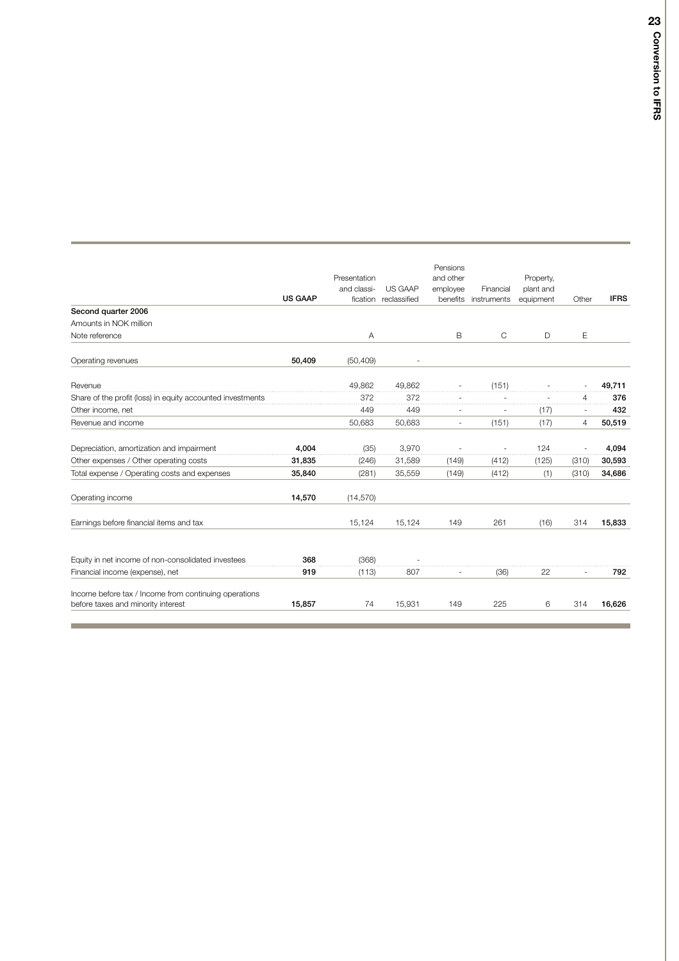|                                                                                             |                |              |                          | Pensions  |             |           |                |             |
|---------------------------------------------------------------------------------------------|----------------|--------------|--------------------------|-----------|-------------|-----------|----------------|-------------|
|                                                                                             |                | Presentation |                          | and other |             | Property, |                |             |
|                                                                                             |                | and classi-  | US GAAP                  | employee  | Financial   | plant and |                |             |
|                                                                                             | <b>US GAAP</b> |              | fication reclassified    | benefits  | instruments | equipment | Other          | <b>IFRS</b> |
| Second quarter 2006                                                                         |                |              |                          |           |             |           |                |             |
| Amounts in NOK million                                                                      |                |              |                          |           |             |           |                |             |
| Note reference                                                                              |                | Α            |                          | B         | С           | D         | Е              |             |
| Operating revenues                                                                          | 50,409         | (50, 409)    | $\overline{\phantom{a}}$ |           |             |           |                |             |
| Revenue                                                                                     |                | 49.862       | 49.862                   |           | (151)       |           |                | 49.711      |
| Share of the profit (loss) in equity accounted investments                                  |                | 372          | 372                      |           |             |           | 4              | 376         |
| Other income, net                                                                           |                | 449          | 449                      |           |             | (17)      |                | 432         |
| Revenue and income                                                                          |                | 50,683       | 50,683                   | ٠         | (151)       | (17)      | $\overline{4}$ | 50,519      |
| Depreciation, amortization and impairment                                                   | 4.004          | (35)         | 3.970                    |           |             | 124       |                | 4,094       |
| Other expenses / Other operating costs                                                      | 31,835         | (246)        | 31,589                   | (149)     | (412)       | (125)     | (310)          | 30,593      |
| Total expense / Operating costs and expenses                                                | 35,840         | (281)        | 35,559                   | (149)     | (412)       | (1)       | (310)          | 34,686      |
| Operating income                                                                            | 14,570         | (14, 570)    |                          |           |             |           |                |             |
| Earnings before financial items and tax                                                     |                | 15,124       | 15,124                   | 149       | 261         | (16)      | 314            | 15,833      |
| Equity in net income of non-consolidated investees                                          | 368            | (368)        |                          |           |             |           |                |             |
| Financial income (expense), net                                                             | 919            | (113)        | 807                      |           | (36)        | 22        |                | 792         |
| Income before tax / Income from continuing operations<br>before taxes and minority interest | 15,857         | 74           | 15,931                   | 149       | 225         | 6         | 314            | 16,626      |

**College**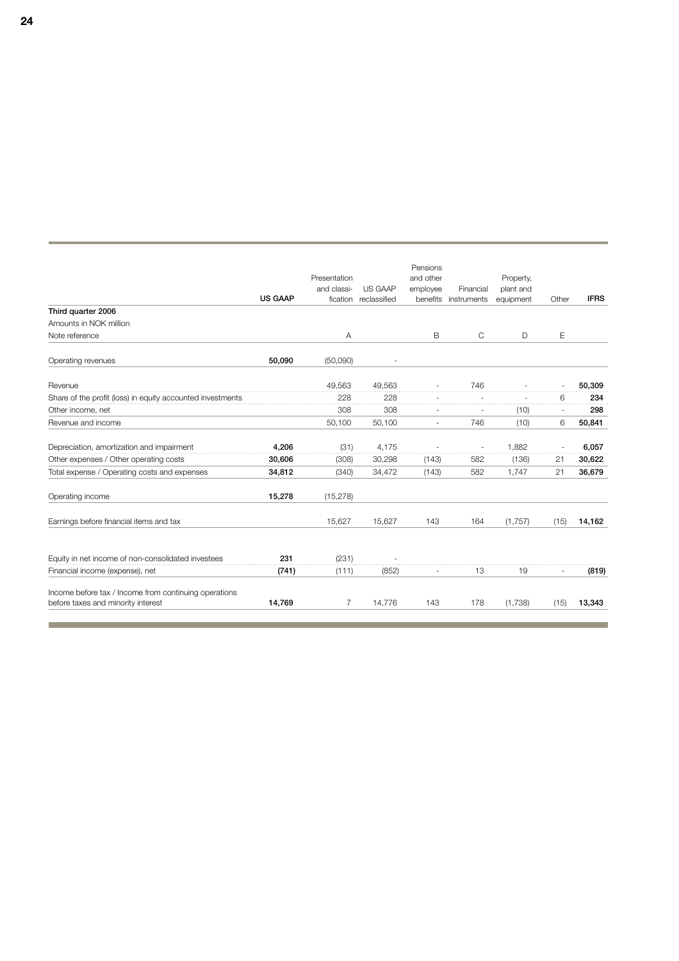|                                                                                             | <b>US GAAP</b> | Presentation<br>and classi-<br>fication | US GAAP<br>reclassified | Pensions<br>and other<br>employee<br>benefits | Financial<br>instruments | Property,<br>plant and<br>equipment | Other  | <b>IFRS</b> |
|---------------------------------------------------------------------------------------------|----------------|-----------------------------------------|-------------------------|-----------------------------------------------|--------------------------|-------------------------------------|--------|-------------|
| Third quarter 2006                                                                          |                |                                         |                         |                                               |                          |                                     |        |             |
| Amounts in NOK million                                                                      |                |                                         |                         |                                               |                          |                                     |        |             |
| Note reference                                                                              |                | A                                       |                         | B                                             | $\mathsf{C}$             | D                                   | E      |             |
| Operating revenues                                                                          | 50,090         | (50,090)                                |                         |                                               |                          |                                     |        |             |
| Revenue                                                                                     |                | 49,563                                  | 49,563                  |                                               | 746                      |                                     |        | 50,309      |
| Share of the profit (loss) in equity accounted investments                                  |                | 228                                     | 228                     |                                               |                          |                                     | 6      | 234         |
| Other income, net                                                                           |                | 308                                     | 308                     |                                               |                          | (10)                                | $\sim$ | 298         |
| Revenue and income                                                                          |                | 50,100                                  | 50,100                  | ä,                                            | 746                      | (10)                                | 6      | 50,841      |
| Depreciation, amortization and impairment                                                   | 4.206          | (31)                                    | 4,175                   |                                               |                          | 1.882                               |        | 6,057       |
| Other expenses / Other operating costs                                                      | 30,606         | (308)                                   | 30,298                  | (143)                                         | 582                      | (136)                               | 21     | 30,622      |
| Total expense / Operating costs and expenses                                                | 34,812         | (340)                                   | 34,472                  | (143)                                         | 582                      | 1.747                               | 21     | 36,679      |
| Operating income                                                                            | 15,278         | (15, 278)                               |                         |                                               |                          |                                     |        |             |
| Earnings before financial items and tax                                                     |                | 15,627                                  | 15,627                  | 143                                           | 164                      | (1,757)                             | (15)   | 14,162      |
| Equity in net income of non-consolidated investees                                          | 231            | (231)                                   |                         |                                               |                          |                                     |        |             |
| Financial income (expense), net                                                             | (741)          | (111)                                   | (852)                   |                                               | 13                       | 19                                  |        | (819)       |
| Income before tax / Income from continuing operations<br>before taxes and minority interest | 14,769         | 7                                       | 14,776                  | 143                                           | 178                      | (1,738)                             | (15)   | 13,343      |
|                                                                                             |                |                                         |                         |                                               |                          |                                     |        |             |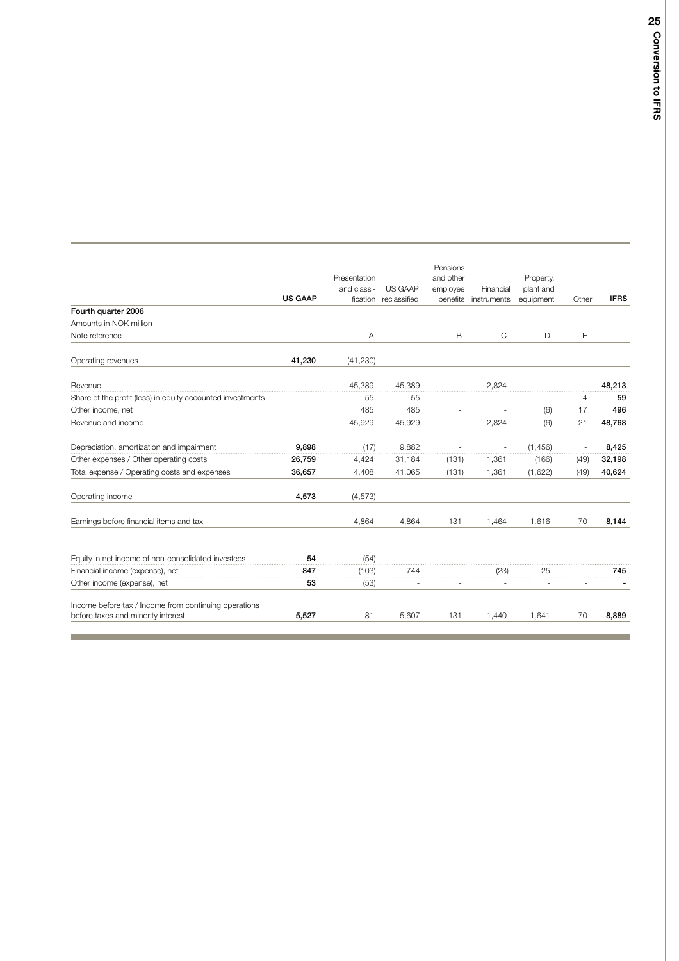|                                                                                             |                | Presentation |              | Pensions<br>and other |              | Property, |       |             |
|---------------------------------------------------------------------------------------------|----------------|--------------|--------------|-----------------------|--------------|-----------|-------|-------------|
|                                                                                             |                | and classi-  | US GAAP      | employee              | Financial    | plant and |       |             |
|                                                                                             | <b>US GAAP</b> | fication     | reclassified | benefits              | instruments  | equipment | Other | <b>IFRS</b> |
| Fourth quarter 2006                                                                         |                |              |              |                       |              |           |       |             |
| Amounts in NOK million                                                                      |                |              |              |                       |              |           |       |             |
| Note reference                                                                              |                | A            |              | B                     | $\mathsf{C}$ | D         | E     |             |
| Operating revenues                                                                          | 41,230         | (41, 230)    |              |                       |              |           |       |             |
| Revenue                                                                                     |                | 45,389       | 45,389       |                       | 2,824        |           |       | 48,213      |
| Share of the profit (loss) in equity accounted investments                                  |                | 55           | 55           |                       |              |           | 4     | 59          |
| Other income, net                                                                           |                | 485          | 485          |                       |              | (6)       | 17    | 496         |
| Revenue and income                                                                          |                | 45,929       | 45,929       |                       | 2,824        | (6)       | 21    | 48,768      |
| Depreciation, amortization and impairment                                                   | 9,898          | (17)         | 9,882        |                       |              | (1, 456)  |       | 8,425       |
| Other expenses / Other operating costs                                                      | 26,759         | 4,424        | 31,184       | (131)                 | 1,361        | (166)     | (49)  | 32,198      |
| Total expense / Operating costs and expenses                                                | 36,657         | 4,408        | 41,065       | (131)                 | 1,361        | (1,622)   | (49)  | 40,624      |
| Operating income                                                                            | 4,573          | (4, 573)     |              |                       |              |           |       |             |
| Earnings before financial items and tax                                                     |                | 4,864        | 4,864        | 131                   | 1,464        | 1,616     | 70    | 8,144       |
| Equity in net income of non-consolidated investees                                          | 54             | (54)         |              |                       |              |           |       |             |
| Financial income (expense), net                                                             | 847            | (103)        | 744          |                       | (23)         | 25        |       | 745         |
| Other income (expense), net                                                                 | 53             | (53)         |              |                       |              |           |       |             |
| Income before tax / Income from continuing operations<br>before taxes and minority interest | 5,527          | 81           | 5,607        | 131                   | 1,440        | 1,641     | 70    | 8,889       |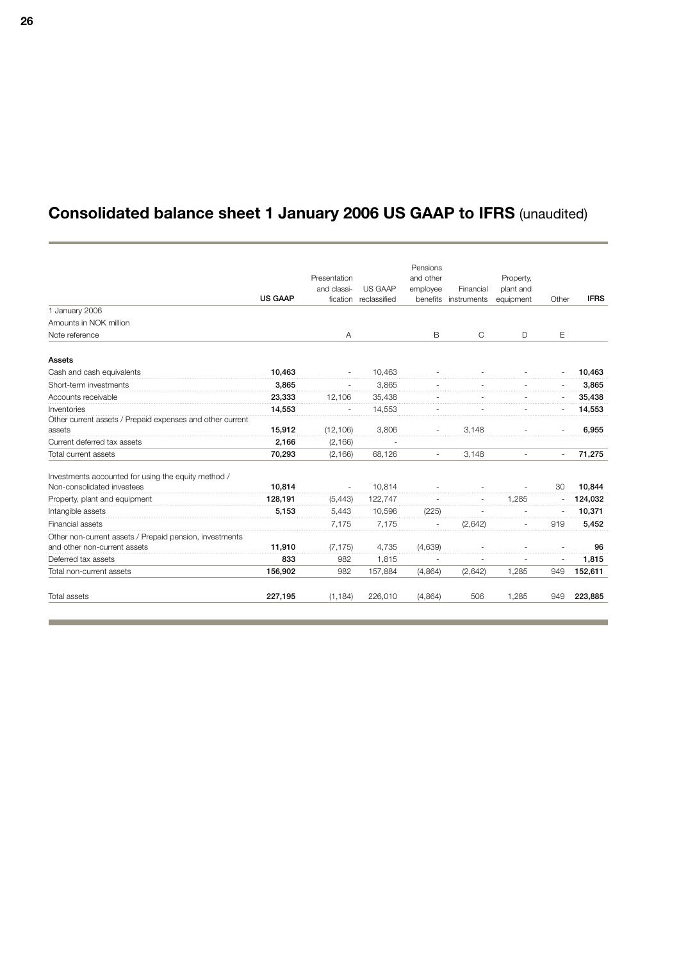## **Consolidated balance sheet 1 January 2006 US GAAP to IFRS** (unaudited)

|                                                           |                |              |              | Pensions                 |                      |           |                          |             |
|-----------------------------------------------------------|----------------|--------------|--------------|--------------------------|----------------------|-----------|--------------------------|-------------|
|                                                           |                | Presentation |              | and other                |                      | Property, |                          |             |
|                                                           |                | and classi-  | US GAAP      | employee                 | Financial            | plant and |                          |             |
|                                                           | <b>US GAAP</b> | fication     | reclassified |                          | benefits instruments | equipment | Other                    | <b>IFRS</b> |
| 1 January 2006                                            |                |              |              |                          |                      |           |                          |             |
| Amounts in NOK million                                    |                |              |              |                          |                      |           |                          |             |
| Note reference                                            |                | Α            |              | B                        | C                    | D         | Ε                        |             |
| Assets                                                    |                |              |              |                          |                      |           |                          |             |
| Cash and cash equivalents                                 | 10,463         |              | 10,463       |                          |                      |           |                          | 10,463      |
| Short-term investments                                    | 3,865          |              | 3.865        |                          |                      |           |                          | 3,865       |
| Accounts receivable                                       | 23,333         | 12.106       | 35,438       |                          |                      |           |                          | 35,438      |
| Inventories                                               | 14,553         |              | 14,553       |                          |                      |           |                          | 14,553      |
| Other current assets / Prepaid expenses and other current |                |              |              |                          |                      |           |                          |             |
| assets                                                    | 15,912         | (12, 106)    | 3,806        |                          | 3,148                |           |                          | 6,955       |
| Current deferred tax assets                               | 2.166          | (2, 166)     |              |                          |                      |           |                          |             |
| Total current assets                                      | 70,293         | (2, 166)     | 68,126       | $\overline{\phantom{a}}$ | 3,148                |           | $\overline{\phantom{a}}$ | 71,275      |
| Investments accounted for using the equity method /       |                |              |              |                          |                      |           |                          |             |
| Non-consolidated investees                                | 10.814         |              | 10.814       |                          |                      |           | 30                       | 10,844      |
| Property, plant and equipment                             | 128,191        | (5.443)      | 122.747      |                          |                      | 1.285     |                          | 124,032     |
| Intangible assets                                         | 5,153          | 5,443        | 10,596       | (225)                    |                      |           |                          | 10,371      |
| Financial assets                                          |                | 7,175        | 7,175        |                          | (2.642)              |           | 919                      | 5,452       |
| Other non-current assets / Prepaid pension, investments   |                |              |              |                          |                      |           |                          |             |
| and other non-current assets                              | 11,910         | (7, 175)     | 4,735        | (4,639)                  |                      |           |                          | 96          |
| Deferred tax assets                                       | 833            | 982          | 1,815        |                          |                      |           |                          | 1,815       |
| Total non-current assets                                  | 156,902        | 982          | 157,884      | (4,864)                  | (2,642)              | 1.285     | 949                      | 152,611     |
| Total assets                                              | 227,195        | (1, 184)     | 226,010      | (4,864)                  | 506                  | 1,285     | 949                      | 223,885     |

and the control of the control of the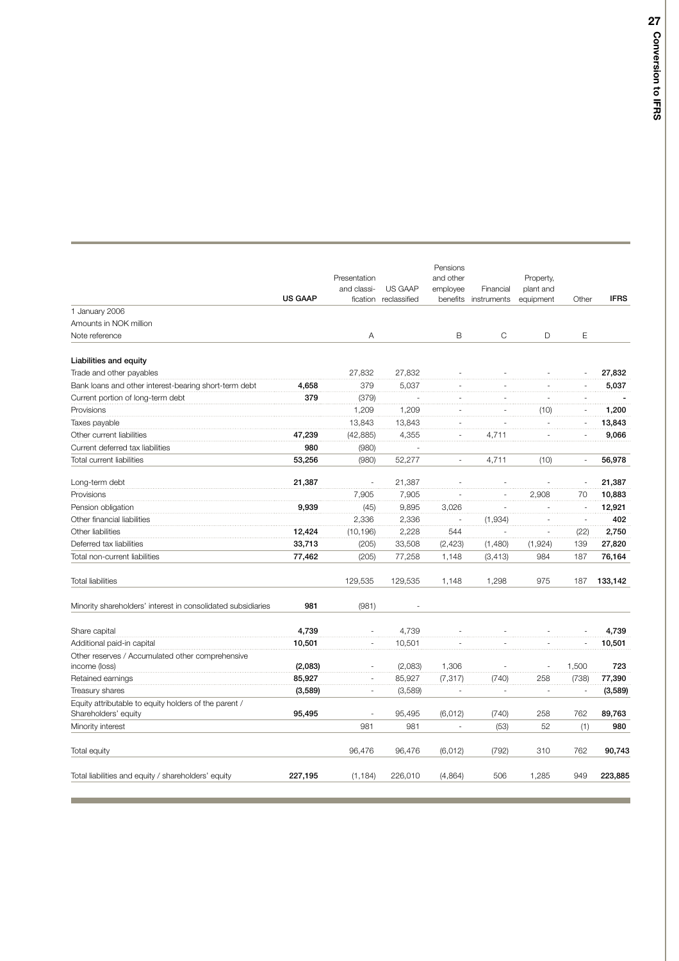|                                                                               | <b>US GAAP</b> | Presentation<br>and classi-<br>fication | US GAAP<br>reclassified | Pensions<br>and other<br>employee<br>benefits | Financial<br>instruments | Property,<br>plant and<br>equipment | Other    | <b>IFRS</b> |
|-------------------------------------------------------------------------------|----------------|-----------------------------------------|-------------------------|-----------------------------------------------|--------------------------|-------------------------------------|----------|-------------|
| 1 January 2006                                                                |                |                                         |                         |                                               |                          |                                     |          |             |
| Amounts in NOK million                                                        |                |                                         |                         |                                               |                          |                                     |          |             |
| Note reference                                                                |                | Α                                       |                         | B                                             | C                        | D                                   | E        |             |
| Liabilities and equity                                                        |                |                                         |                         |                                               |                          |                                     |          |             |
| Trade and other payables                                                      |                | 27,832                                  | 27,832                  |                                               |                          |                                     |          | 27,832      |
| Bank loans and other interest-bearing short-term debt                         | 4,658          | 379                                     | 5,037                   |                                               |                          |                                     |          | 5,037       |
| Current portion of long-term debt                                             | 379            | (379)                                   |                         |                                               |                          |                                     |          |             |
| Provisions                                                                    |                | 1,209                                   | 1,209                   |                                               |                          | (10)                                |          | 1,200       |
| Taxes payable                                                                 |                | 13,843                                  | 13,843                  |                                               |                          |                                     |          | 13,843      |
| Other current liabilities                                                     | 47,239         | (42, 885)                               | 4,355                   |                                               | 4,711                    |                                     |          | 9,066       |
| Current deferred tax liabilities                                              | 980            | (980)                                   |                         |                                               |                          |                                     |          |             |
| Total current liabilities                                                     | 53,256         | (980)                                   | 52,277                  | ÷,                                            | 4,711                    | (10)                                | $\omega$ | 56,978      |
| Long-term debt                                                                | 21,387         |                                         | 21,387                  |                                               |                          |                                     |          | 21,387      |
| Provisions                                                                    |                | 7,905                                   | 7,905                   |                                               |                          | 2,908                               | 70       | 10,883      |
| Pension obligation                                                            | 9,939          | (45)                                    | 9,895                   | 3,026                                         |                          |                                     |          | 12,921      |
| Other financial liabilities                                                   |                | 2,336                                   | 2,336                   |                                               | (1, 934)                 |                                     |          | 402         |
| Other liabilities                                                             | 12,424         | (10, 196)                               | 2,228                   | 544                                           |                          |                                     | (22)     | 2,750       |
| Deferred tax liabilities                                                      | 33,713         | (205)                                   | 33,508                  | (2, 423)                                      | (1,480)                  | (1,924)                             | 139      | 27,820      |
| Total non-current liabilities                                                 | 77,462         | (205)                                   | 77,258                  | 1,148                                         | (3, 413)                 | 984                                 | 187      | 76,164      |
| <b>Total liabilities</b>                                                      |                | 129,535                                 | 129,535                 | 1,148                                         | 1,298                    | 975                                 | 187      | 133,142     |
| Minority shareholders' interest in consolidated subsidiaries                  | 981            | (981)                                   |                         |                                               |                          |                                     |          |             |
| Share capital                                                                 | 4,739          |                                         | 4,739                   |                                               |                          |                                     |          | 4,739       |
| Additional paid-in capital                                                    | 10,501         |                                         | 10,501                  |                                               |                          |                                     |          | 10,501      |
| Other reserves / Accumulated other comprehensive                              |                |                                         |                         |                                               |                          |                                     |          |             |
| income (loss)                                                                 | (2,083)        |                                         | (2,083)                 | 1,306                                         |                          |                                     | 1,500    | 723         |
| Retained earnings                                                             | 85,927         |                                         | 85,927                  | (7, 317)                                      | (740)                    | 258                                 | (738)    | 77,390      |
| Treasury shares                                                               | (3,589)        |                                         | (3,589)                 |                                               |                          |                                     |          | (3,589)     |
| Equity attributable to equity holders of the parent /<br>Shareholders' equity | 95,495         |                                         | 95,495                  | (6, 012)                                      | (740)                    | 258                                 | 762      | 89,763      |
| Minority interest                                                             |                | 981                                     | 981                     |                                               | (53)                     | 52                                  | (1)      | 980         |
|                                                                               |                |                                         |                         |                                               |                          |                                     |          |             |
| Total equity                                                                  |                | 96,476                                  | 96,476                  | (6,012)                                       | (792)                    | 310                                 | 762      | 90,743      |
| Total liabilities and equity / shareholders' equity                           | 227,195        | (1, 184)                                | 226,010                 | (4,864)                                       | 506                      | 1,285                               | 949      | 223,885     |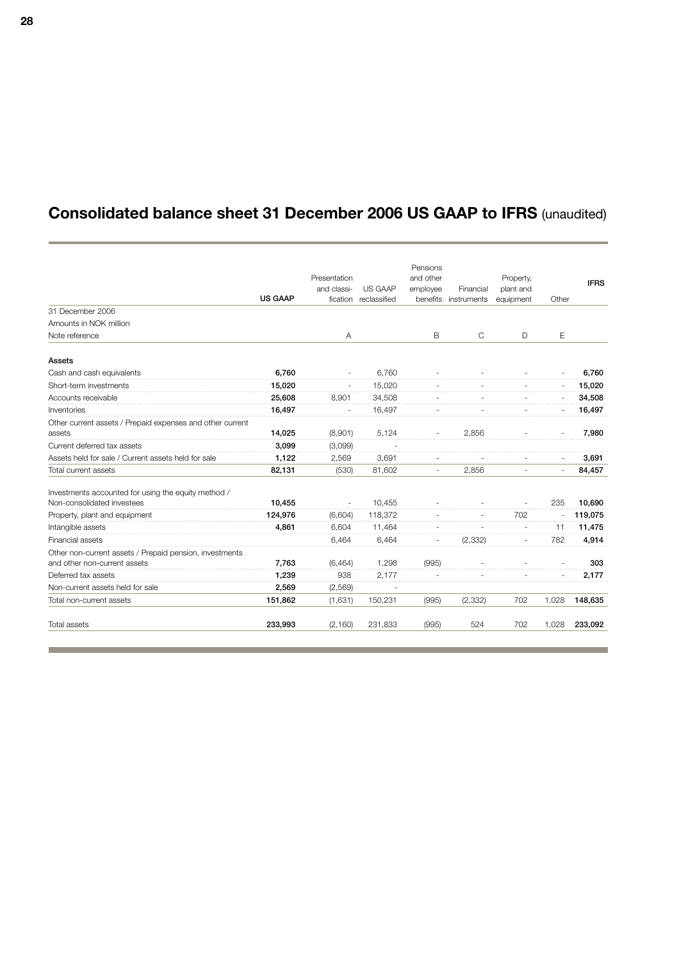## **Consolidated balance sheet 31 December 2006 US GAAP to IFRS** (unaudited)

|                                                           |                |              |              | Pensions                 |                      |           |       |             |
|-----------------------------------------------------------|----------------|--------------|--------------|--------------------------|----------------------|-----------|-------|-------------|
|                                                           |                | Presentation |              | and other                |                      | Property, |       | <b>IFRS</b> |
|                                                           |                | and classi-  | US GAAP      | employee                 | Financial            | plant and |       |             |
|                                                           | <b>US GAAP</b> | fication     | reclassified |                          | benefits instruments | equipment | Other |             |
| 31 December 2006                                          |                |              |              |                          |                      |           |       |             |
| Amounts in NOK million                                    |                |              |              |                          |                      |           |       |             |
| Note reference                                            |                | Α            |              | B                        | $\mathsf{C}$         | D         | E     |             |
| <b>Assets</b>                                             |                |              |              |                          |                      |           |       |             |
| Cash and cash equivalents                                 | 6.760          |              | 6,760        |                          |                      |           |       | 6,760       |
| Short-term investments                                    | 15,020         |              | 15,020       |                          |                      |           |       | 15,020      |
| Accounts receivable                                       | 25,608         | 8.901        | 34,508       |                          |                      |           |       | 34,508      |
| Inventories                                               | 16,497         |              | 16.497       |                          |                      |           |       | 16,497      |
| Other current assets / Prepaid expenses and other current |                |              |              |                          |                      |           |       |             |
| assets                                                    | 14,025         | (8,901)      | 5,124        |                          | 2.856                |           |       | 7,980       |
| Current deferred tax assets                               | 3.099          | (3,099)      |              |                          |                      |           |       |             |
| Assets held for sale / Current assets held for sale       | 1,122          | 2,569        | 3,691        |                          |                      |           |       | 3,691       |
| Total current assets                                      | 82,131         | (530)        | 81,602       | $\overline{\phantom{a}}$ | 2,856                | $\sim$    | ÷,    | 84,457      |
| Investments accounted for using the equity method /       |                |              |              |                          |                      |           |       |             |
| Non-consolidated investees                                | 10.455         | $\sim$       | 10.455       |                          |                      |           | 235   | 10.690      |
| Property, plant and equipment                             | 124.976        | (6,604)      | 118,372      |                          |                      | 702       |       | 119,075     |
| Intangible assets                                         | 4,861          | 6,604        | 11,464       |                          |                      |           | 11    | 11,475      |
| Financial assets                                          |                | 6.464        | 6.464        |                          | (2, 332)             |           | 782   | 4,914       |
| Other non-current assets / Prepaid pension, investments   |                |              |              |                          |                      |           |       |             |
| and other non-current assets                              | 7,763          | (6, 464)     | 1,298        | (995)                    |                      |           |       | 303         |
| Deferred tax assets                                       | 1,239          | 938          | 2,177        |                          |                      |           |       | 2,177       |
| Non-current assets held for sale                          | 2,569          | (2,569)      |              |                          |                      |           |       |             |
| Total non-current assets                                  | 151,862        | (1,631)      | 150,231      | (995)                    | (2, 332)             | 702       | 1,028 | 148,635     |
| <b>Total assets</b>                                       | 233,993        | (2, 160)     | 231,833      | (995)                    | 524                  | 702       | 1,028 | 233,092     |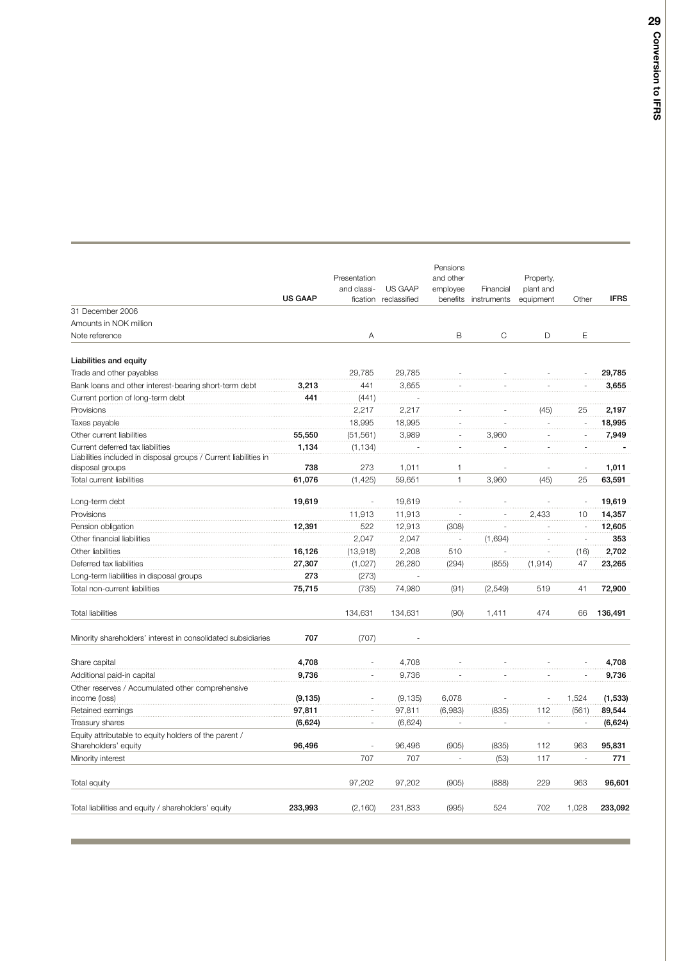|                                                                                                      | <b>US GAAP</b> | Presentation<br>and classi-<br>fication | US GAAP<br>reclassified | Pensions<br>and other<br>employee<br>benefits | Financial<br>instruments | Property,<br>plant and<br>equipment | Other | <b>IFRS</b> |
|------------------------------------------------------------------------------------------------------|----------------|-----------------------------------------|-------------------------|-----------------------------------------------|--------------------------|-------------------------------------|-------|-------------|
| 31 December 2006                                                                                     |                |                                         |                         |                                               |                          |                                     |       |             |
| Amounts in NOK million                                                                               |                |                                         |                         |                                               |                          |                                     |       |             |
| Note reference                                                                                       |                | Α                                       |                         | B                                             | C                        | D                                   | Ε     |             |
| Liabilities and equity                                                                               |                |                                         |                         |                                               |                          |                                     |       |             |
| Trade and other payables                                                                             |                | 29,785                                  | 29,785                  |                                               |                          |                                     |       | 29,785      |
| Bank loans and other interest-bearing short-term debt                                                | 3,213          | 441                                     | 3,655                   |                                               |                          |                                     |       | 3,655       |
| Current portion of long-term debt                                                                    | 441            | (441)                                   |                         |                                               |                          |                                     |       |             |
| Provisions                                                                                           |                | 2,217                                   | 2,217                   |                                               |                          | (45)                                | 25    | 2,197       |
| Taxes payable                                                                                        |                | 18,995                                  | 18,995                  |                                               |                          |                                     |       | 18,995      |
| Other current liabilities                                                                            | 55,550         | (51, 561)                               | 3,989                   |                                               | 3,960                    |                                     |       | 7,949       |
| Current deferred tax liabilities<br>Liabilities included in disposal groups / Current liabilities in | 1,134          | (1, 134)                                |                         |                                               |                          |                                     |       |             |
| disposal groups                                                                                      | 738            | 273                                     | 1,011                   | 1                                             |                          |                                     |       | 1,011       |
| Total current liabilities                                                                            | 61,076         | (1, 425)                                | 59,651                  | $\mathbf{1}$                                  | 3,960                    | (45)                                | 25    | 63,591      |
| Long-term debt                                                                                       | 19,619         |                                         | 19,619                  |                                               |                          |                                     | ÷     | 19,619      |
| Provisions                                                                                           |                | 11,913                                  | 11,913                  |                                               |                          | 2,433                               | 10    | 14,357      |
| Pension obligation                                                                                   | 12,391         | 522                                     | 12,913                  | (308)                                         |                          |                                     |       | 12,605      |
| Other financial liabilities                                                                          |                | 2,047                                   | 2,047                   |                                               | (1,694)                  |                                     | ٠.    | 353         |
| Other liabilities                                                                                    | 16,126         | (13,918)                                | 2,208                   | 510                                           |                          |                                     | (16)  | 2,702       |
| Deferred tax liabilities                                                                             | 27,307         | (1,027)                                 | 26,280                  | (294)                                         | (855)                    | (1, 914)                            | 47    | 23,265      |
| Long-term liabilities in disposal groups                                                             | 273            | (273)                                   |                         |                                               |                          |                                     |       |             |
| Total non-current liabilities                                                                        | 75,715         | (735)                                   | 74,980                  | (91)                                          | (2, 549)                 | 519                                 | 41    | 72,900      |
| <b>Total liabilities</b>                                                                             |                | 134,631                                 | 134,631                 | (90)                                          | 1,411                    | 474                                 | 66    | 136,491     |
| Minority shareholders' interest in consolidated subsidiaries                                         | 707            | (707)                                   |                         |                                               |                          |                                     |       |             |
| Share capital                                                                                        | 4,708          |                                         | 4,708                   |                                               |                          |                                     |       | 4,708       |
| Additional paid-in capital                                                                           | 9,736          |                                         | 9,736                   |                                               |                          |                                     |       | 9,736       |
| Other reserves / Accumulated other comprehensive<br>income (loss)                                    | (9, 135)       |                                         | (9, 135)                | 6,078                                         |                          |                                     | 1,524 | (1, 533)    |
| Retained earnings                                                                                    | 97,811         |                                         | 97,811                  | (6,983)                                       | (835)                    | 112                                 | (561) | 89,544      |
| Treasury shares                                                                                      | (6,624)        |                                         | (6,624)                 |                                               |                          |                                     |       | (6,624)     |
| Equity attributable to equity holders of the parent /                                                |                |                                         |                         |                                               |                          |                                     |       |             |
| Shareholders' equity                                                                                 | 96,496         |                                         | 96,496                  | (905)                                         | (835)                    | 112                                 | 963   | 95,831      |
| Minority interest                                                                                    |                | 707                                     | 707                     | L.                                            | (53)                     | 117                                 | ÷,    | 771         |
| Total equity                                                                                         |                | 97,202                                  | 97,202                  | (905)                                         | (888)                    | 229                                 | 963   | 96,601      |
| Total liabilities and equity / shareholders' equity                                                  | 233,993        | (2, 160)                                | 231,833                 | (995)                                         | 524                      | 702                                 | 1,028 | 233,092     |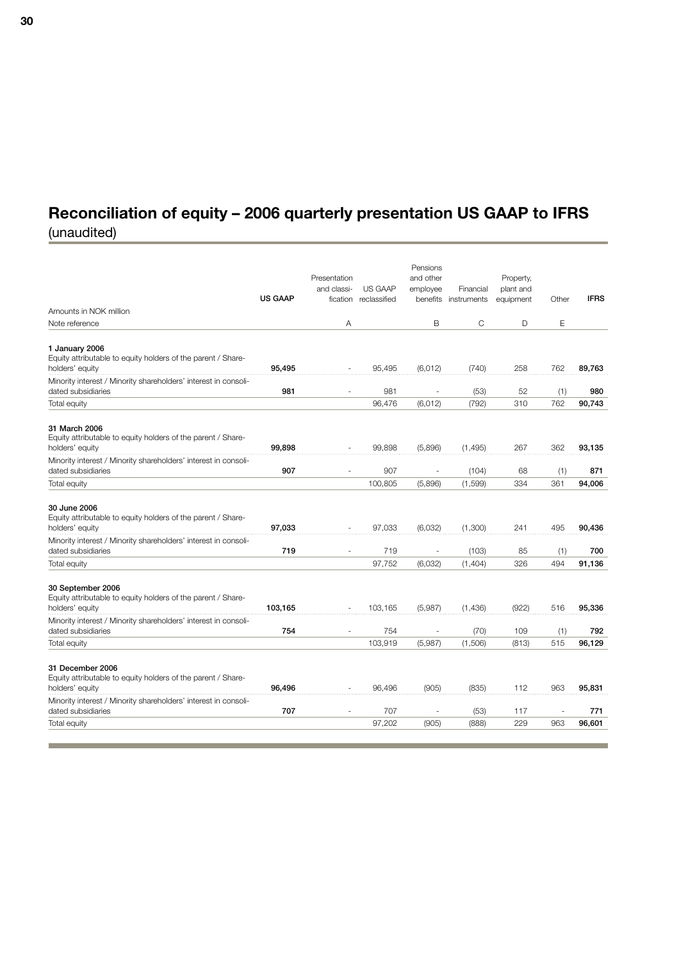# **Reconciliation of equity – 2006 quarterly presentation US GAAP to IFRS**

| (unaudited) |  |  |
|-------------|--|--|

| Amounts in NOK million                                                                               | <b>US GAAP</b> | Presentation<br>and classi-<br>fication | <b>US GAAP</b><br>reclassified | Pensions<br>and other<br>employee<br>benefits | Financial<br>instruments | Property,<br>plant and<br>equipment | Other | <b>IFRS</b> |
|------------------------------------------------------------------------------------------------------|----------------|-----------------------------------------|--------------------------------|-----------------------------------------------|--------------------------|-------------------------------------|-------|-------------|
| Note reference                                                                                       |                | Α                                       |                                | B                                             | С                        | D                                   | Ε     |             |
|                                                                                                      |                |                                         |                                |                                               |                          |                                     |       |             |
| 1 January 2006<br>Equity attributable to equity holders of the parent / Share-<br>holders' equity    | 95,495         |                                         | 95,495                         | (6,012)                                       | (740)                    | 258                                 | 762   | 89,763      |
| Minority interest / Minority shareholders' interest in consoli-<br>dated subsidiaries                | 981            | ÷                                       | 981                            |                                               | (53)                     | 52                                  | (1)   | 980         |
| Total equity                                                                                         |                |                                         | 96,476                         | (6,012)                                       | (792)                    | 310                                 | 762   | 90,743      |
| 31 March 2006<br>Equity attributable to equity holders of the parent / Share-<br>holders' equity     | 99,898         |                                         | 99.898                         | (5,896)                                       | (1, 495)                 | 267                                 | 362   | 93,135      |
| Minority interest / Minority shareholders' interest in consoli-<br>dated subsidiaries                | 907            |                                         | 907                            | ä,                                            | (104)                    | 68                                  | (1)   | 871         |
| Total equity                                                                                         |                |                                         | 100,805                        | (5,896)                                       | (1,599)                  | 334                                 | 361   | 94,006      |
| 30 June 2006<br>Equity attributable to equity holders of the parent / Share-<br>holders' equity      | 97,033         |                                         | 97,033                         | (6,032)                                       | (1,300)                  | 241                                 | 495   | 90,436      |
| Minority interest / Minority shareholders' interest in consoli-<br>dated subsidiaries                | 719            |                                         | 719                            |                                               | (103)                    | 85                                  | (1)   | 700         |
| Total equity                                                                                         |                |                                         | 97,752                         | (6,032)                                       | (1,404)                  | 326                                 | 494   | 91,136      |
| 30 September 2006<br>Equity attributable to equity holders of the parent / Share-<br>holders' equity | 103,165        |                                         | 103,165                        | (5,987)                                       | (1,436)                  | (922)                               | 516   | 95,336      |
| Minority interest / Minority shareholders' interest in consoli-<br>dated subsidiaries                | 754            | ÷,                                      | 754                            |                                               | (70)                     | 109                                 | (1)   | 792         |
| Total equity                                                                                         |                |                                         | 103,919                        | (5,987)                                       | (1,506)                  | (813)                               | 515   | 96,129      |
| 31 December 2006<br>Equity attributable to equity holders of the parent / Share-<br>holders' equity  | 96,496         |                                         | 96,496                         | (905)                                         | (835)                    | 112                                 | 963   | 95,831      |
| Minority interest / Minority shareholders' interest in consoli-<br>dated subsidiaries                | 707            |                                         | 707                            |                                               | (53)                     | 117                                 | ÷,    | 771         |
| Total equity                                                                                         |                |                                         | 97,202                         | (905)                                         | (888)                    | 229                                 | 963   | 96,601      |
|                                                                                                      |                |                                         |                                |                                               |                          |                                     |       |             |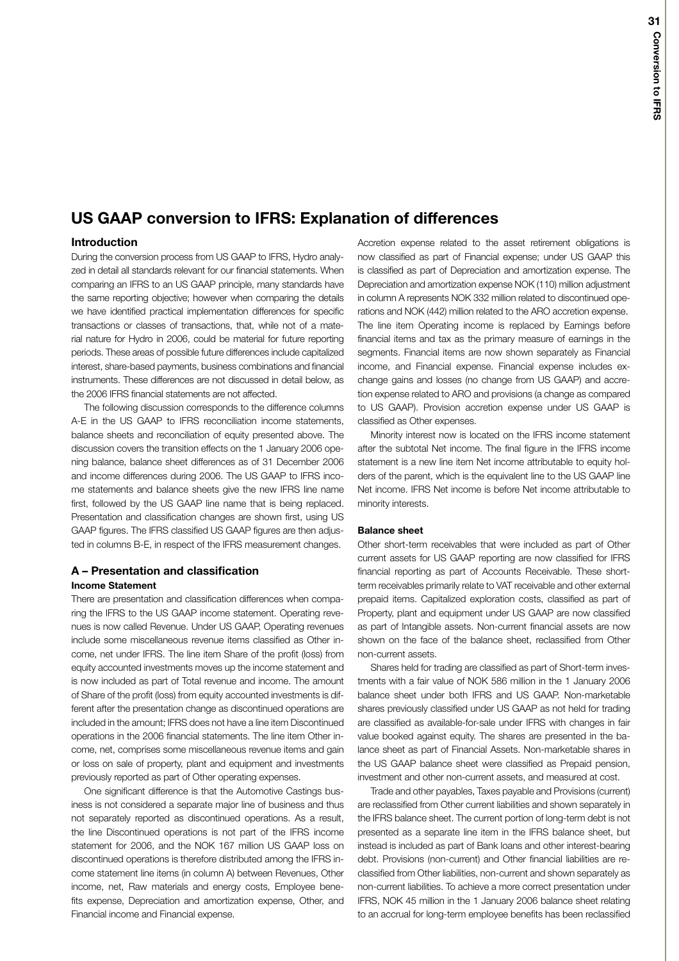## **US GAAP conversion to IFRS: Explanation of differences**

## **Introduction**

During the conversion process from US GAAP to IFRS, Hydro analyzed in detail all standards relevant for our financial statements. When comparing an IFRS to an US GAAP principle, many standards have the same reporting objective; however when comparing the details we have identified practical implementation differences for specific transactions or classes of transactions, that, while not of a material nature for Hydro in 2006, could be material for future reporting periods. These areas of possible future differences include capitalized interest, share-based payments, business combinations and financial instruments. These differences are not discussed in detail below, as the 2006 IFRS financial statements are not affected.

The following discussion corresponds to the difference columns A-E in the US GAAP to IFRS reconciliation income statements, balance sheets and reconciliation of equity presented above. The discussion covers the transition effects on the 1 January 2006 opening balance, balance sheet differences as of 31 December 2006 and income differences during 2006. The US GAAP to IFRS income statements and balance sheets give the new IFRS line name first, followed by the US GAAP line name that is being replaced. Presentation and classification changes are shown first, using US GAAP figures. The IFRS classified US GAAP figures are then adjusted in columns B-E, in respect of the IFRS measurement changes.

## **A – Presentation and classification Income Statement**

There are presentation and classification differences when comparing the IFRS to the US GAAP income statement. Operating revenues is now called Revenue. Under US GAAP, Operating revenues include some miscellaneous revenue items classified as Other income, net under IFRS. The line item Share of the profit (loss) from equity accounted investments moves up the income statement and is now included as part of Total revenue and income. The amount of Share of the profit (loss) from equity accounted investments is different after the presentation change as discontinued operations are included in the amount; IFRS does not have a line item Discontinued operations in the 2006 financial statements. The line item Other income, net, comprises some miscellaneous revenue items and gain or loss on sale of property, plant and equipment and investments previously reported as part of Other operating expenses.

One significant difference is that the Automotive Castings business is not considered a separate major line of business and thus not separately reported as discontinued operations. As a result, the line Discontinued operations is not part of the IFRS income statement for 2006, and the NOK 167 million US GAAP loss on discontinued operations is therefore distributed among the IFRS income statement line items (in column A) between Revenues, Other income, net, Raw materials and energy costs, Employee benefits expense, Depreciation and amortization expense, Other, and Financial income and Financial expense.

Accretion expense related to the asset retirement obligations is now classified as part of Financial expense; under US GAAP this is classified as part of Depreciation and amortization expense. The Depreciation and amortization expense NOK (110) million adjustment in column A represents NOK 332 million related to discontinued operations and NOK (442) million related to the ARO accretion expense. The line item Operating income is replaced by Earnings before financial items and tax as the primary measure of earnings in the segments. Financial items are now shown separately as Financial income, and Financial expense. Financial expense includes exchange gains and losses (no change from US GAAP) and accretion expense related to ARO and provisions (a change as compared to US GAAP). Provision accretion expense under US GAAP is classified as Other expenses.

Minority interest now is located on the IFRS income statement after the subtotal Net income. The final figure in the IFRS income statement is a new line item Net income attributable to equity holders of the parent, which is the equivalent line to the US GAAP line Net income. IFRS Net income is before Net income attributable to minority interests.

### **Balance sheet**

Other short-term receivables that were included as part of Other current assets for US GAAP reporting are now classified for IFRS financial reporting as part of Accounts Receivable. These shortterm receivables primarily relate to VAT receivable and other external prepaid items. Capitalized exploration costs, classified as part of Property, plant and equipment under US GAAP are now classified as part of Intangible assets. Non-current financial assets are now shown on the face of the balance sheet, reclassified from Other non-current assets.

Shares held for trading are classified as part of Short-term investments with a fair value of NOK 586 million in the 1 January 2006 balance sheet under both IFRS and US GAAP. Non-marketable shares previously classified under US GAAP as not held for trading are classified as available-for-sale under IFRS with changes in fair value booked against equity. The shares are presented in the balance sheet as part of Financial Assets. Non-marketable shares in the US GAAP balance sheet were classified as Prepaid pension, investment and other non-current assets, and measured at cost.

Trade and other payables, Taxes payable and Provisions (current) are reclassified from Other current liabilities and shown separately in the IFRS balance sheet. The current portion of long-term debt is not presented as a separate line item in the IFRS balance sheet, but instead is included as part of Bank loans and other interest-bearing debt. Provisions (non-current) and Other financial liabilities are reclassified from Other liabilities, non-current and shown separately as non-current liabilities. To achieve a more correct presentation under IFRS, NOK 45 million in the 1 January 2006 balance sheet relating to an accrual for long-term employee benefits has been reclassified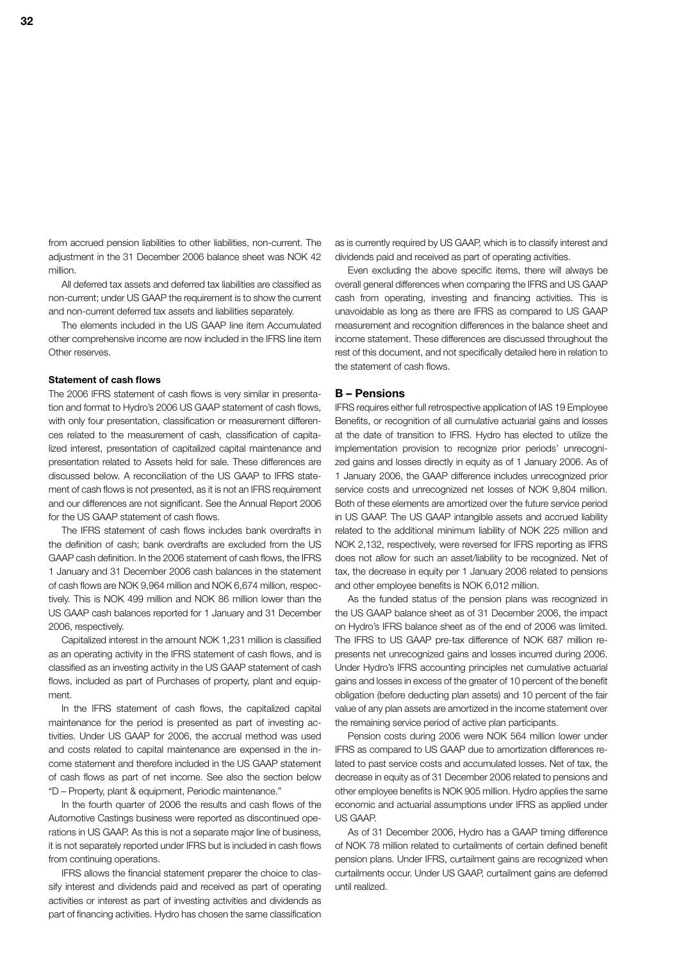from accrued pension liabilities to other liabilities, non-current. The adjustment in the 31 December 2006 balance sheet was NOK 42 million.

All deferred tax assets and deferred tax liabilities are classified as non-current; under US GAAP the requirement is to show the current and non-current deferred tax assets and liabilities separately.

The elements included in the US GAAP line item Accumulated other comprehensive income are now included in the IFRS line item Other reserves.

#### **Statement of cash flows**

The 2006 IFRS statement of cash flows is very similar in presentation and format to Hydro's 2006 US GAAP statement of cash flows, with only four presentation, classification or measurement differences related to the measurement of cash, classification of capitalized interest, presentation of capitalized capital maintenance and presentation related to Assets held for sale. These differences are discussed below. A reconciliation of the US GAAP to IFRS statement of cash flows is not presented, as it is not an IFRS requirement and our differences are not significant. See the Annual Report 2006 for the US GAAP statement of cash flows.

The IFRS statement of cash flows includes bank overdrafts in the definition of cash; bank overdrafts are excluded from the US GAAP cash definition. In the 2006 statement of cash flows, the IFRS 1 January and 31 December 2006 cash balances in the statement of cash flows are NOK 9,964 million and NOK 6,674 million, respectively. This is NOK 499 million and NOK 86 million lower than the US GAAP cash balances reported for 1 January and 31 December 2006, respectively.

Capitalized interest in the amount NOK 1,231 million is classified as an operating activity in the IFRS statement of cash flows, and is classified as an investing activity in the US GAAP statement of cash flows, included as part of Purchases of property, plant and equipment.

In the IFRS statement of cash flows, the capitalized capital maintenance for the period is presented as part of investing activities. Under US GAAP for 2006, the accrual method was used and costs related to capital maintenance are expensed in the income statement and therefore included in the US GAAP statement of cash flows as part of net income. See also the section below "D – Property, plant & equipment, Periodic maintenance."

In the fourth quarter of 2006 the results and cash flows of the Automotive Castings business were reported as discontinued operations in US GAAP. As this is not a separate major line of business, it is not separately reported under IFRS but is included in cash flows from continuing operations.

IFRS allows the financial statement preparer the choice to classify interest and dividends paid and received as part of operating activities or interest as part of investing activities and dividends as part of financing activities. Hydro has chosen the same classification

as is currently required by US GAAP, which is to classify interest and dividends paid and received as part of operating activities.

Even excluding the above specific items, there will always be overall general differences when comparing the IFRS and US GAAP cash from operating, investing and financing activities. This is unavoidable as long as there are IFRS as compared to US GAAP measurement and recognition differences in the balance sheet and income statement. These differences are discussed throughout the rest of this document, and not specifically detailed here in relation to the statement of cash flows.

### **B – Pensions**

IFRS requires either full retrospective application of IAS 19 Employee Benefits, or recognition of all cumulative actuarial gains and losses at the date of transition to IFRS. Hydro has elected to utilize the implementation provision to recognize prior periods' unrecognized gains and losses directly in equity as of 1 January 2006. As of 1 January 2006, the GAAP difference includes unrecognized prior service costs and unrecognized net losses of NOK 9,804 million. Both of these elements are amortized over the future service period in US GAAP. The US GAAP intangible assets and accrued liability related to the additional minimum liability of NOK 225 million and NOK 2,132, respectively, were reversed for IFRS reporting as IFRS does not allow for such an asset/liability to be recognized. Net of tax, the decrease in equity per 1 January 2006 related to pensions and other employee benefits is NOK 6,012 million.

As the funded status of the pension plans was recognized in the US GAAP balance sheet as of 31 December 2006, the impact on Hydro's IFRS balance sheet as of the end of 2006 was limited. The IFRS to US GAAP pre-tax difference of NOK 687 million represents net unrecognized gains and losses incurred during 2006. Under Hydro's IFRS accounting principles net cumulative actuarial gains and losses in excess of the greater of 10 percent of the benefit obligation (before deducting plan assets) and 10 percent of the fair value of any plan assets are amortized in the income statement over the remaining service period of active plan participants.

Pension costs during 2006 were NOK 564 million lower under IFRS as compared to US GAAP due to amortization differences related to past service costs and accumulated losses. Net of tax, the decrease in equity as of 31 December 2006 related to pensions and other employee benefits is NOK 905 million. Hydro applies the same economic and actuarial assumptions under IFRS as applied under US GAAP.

As of 31 December 2006, Hydro has a GAAP timing difference of NOK 78 million related to curtailments of certain defined benefit pension plans. Under IFRS, curtailment gains are recognized when curtailments occur. Under US GAAP, curtailment gains are deferred until realized.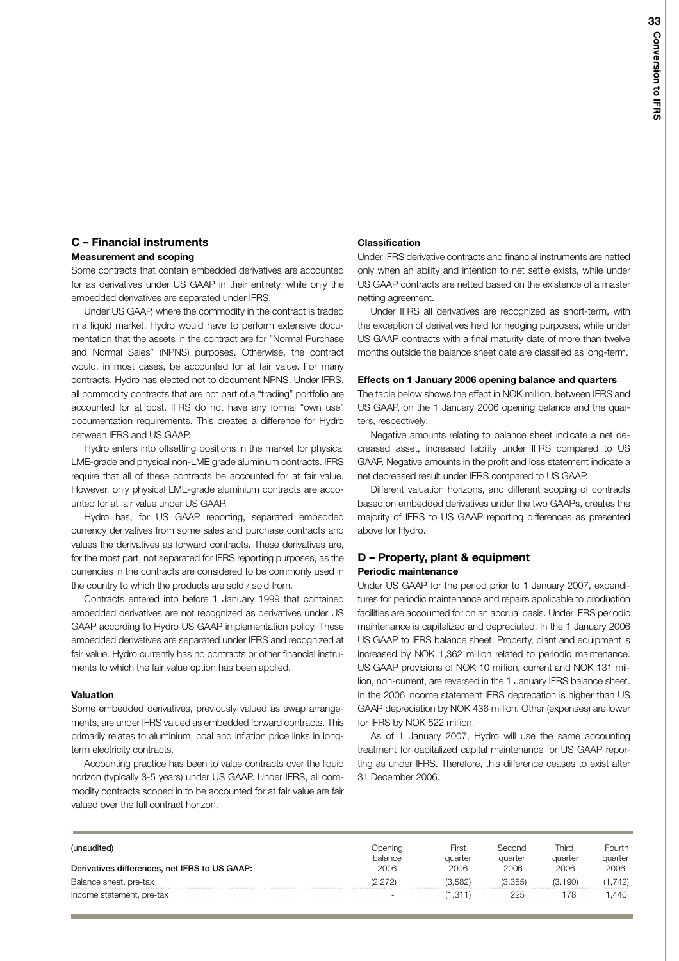## **C – Financial instruments**

## **Measurement and scoping**

Some contracts that contain embedded derivatives are accounted for as derivatives under US GAAP in their entirety, while only the embedded derivatives are separated under IFRS.

Under US GAAP, where the commodity in the contract is traded in a liquid market, Hydro would have to perform extensive documentation that the assets in the contract are for "Normal Purchase and Normal Sales" (NPNS) purposes. Otherwise, the contract would, in most cases, be accounted for at fair value. For many contracts, Hydro has elected not to document NPNS. Under IFRS, all commodity contracts that are not part of a "trading" portfolio are accounted for at cost. IFRS do not have any formal "own use" documentation requirements. This creates a difference for Hydro between IFRS and US GAAP.

Hydro enters into offsetting positions in the market for physical LME-grade and physical non-LME grade aluminium contracts. IFRS require that all of these contracts be accounted for at fair value. However, only physical LME-grade aluminium contracts are accounted for at fair value under US GAAP.

Hydro has, for US GAAP reporting, separated embedded currency derivatives from some sales and purchase contracts and values the derivatives as forward contracts. These derivatives are, for the most part, not separated for IFRS reporting purposes, as the currencies in the contracts are considered to be commonly used in the country to which the products are sold / sold from.

Contracts entered into before 1 January 1999 that contained embedded derivatives are not recognized as derivatives under US GAAP according to Hydro US GAAP implementation policy. These embedded derivatives are separated under IFRS and recognized at fair value. Hydro currently has no contracts or other financial instruments to which the fair value option has been applied.

## **Valuation**

Some embedded derivatives, previously valued as swap arrangements, are under IFRS valued as embedded forward contracts. This primarily relates to aluminium, coal and inflation price links in longterm electricity contracts.

Accounting practice has been to value contracts over the liquid horizon (typically 3-5 years) under US GAAP. Under IFRS, all commodity contracts scoped in to be accounted for at fair value are fair valued over the full contract horizon.

## **Classification**

Under IFRS derivative contracts and financial instruments are netted only when an ability and intention to net settle exists, while under US GAAP contracts are netted based on the existence of a master netting agreement.

Under IFRS all derivatives are recognized as short-term, with the exception of derivatives held for hedging purposes, while under US GAAP contracts with a final maturity date of more than twelve months outside the balance sheet date are classified as long-term.

## **Effects on 1 January 2006 opening balance and quarters**

The table below shows the effect in NOK million, between IFRS and US GAAP, on the 1 January 2006 opening balance and the quarters, respectively:

Negative amounts relating to balance sheet indicate a net decreased asset, increased liability under IFRS compared to US GAAP. Negative amounts in the profit and loss statement indicate a net decreased result under IFRS compared to US GAAP.

Different valuation horizons, and different scoping of contracts based on embedded derivatives under the two GAAPs, creates the majority of IFRS to US GAAP reporting differences as presented above for Hydro.

## **D – Property, plant & equipment Periodic maintenance**

Under US GAAP for the period prior to 1 January 2007, expenditures for periodic maintenance and repairs applicable to production facilities are accounted for on an accrual basis. Under IFRS periodic maintenance is capitalized and depreciated. In the 1 January 2006 US GAAP to IFRS balance sheet, Property, plant and equipment is increased by NOK 1,362 million related to periodic maintenance. US GAAP provisions of NOK 10 million, current and NOK 131 million, non-current, are reversed in the 1 January IFRS balance sheet. In the 2006 income statement IFRS deprecation is higher than US GAAP depreciation by NOK 436 million. Other (expenses) are lower for IFRS by NOK 522 million.

As of 1 January 2007, Hydro will use the same accounting treatment for capitalized capital maintenance for US GAAP reporting as under IFRS. Therefore, this difference ceases to exist after 31 December 2006.

| (unaudited)                                   | balance                  | ⊢irst<br>auarter | Second<br>quarter | Third<br>auarter | -ourth<br>auarter |
|-----------------------------------------------|--------------------------|------------------|-------------------|------------------|-------------------|
| Derivatives differences, net IFRS to US GAAP: | 2006                     | 2006             | 2006              | 2006             |                   |
| Balance sheet, pre-tax                        |                          | (3.582           |                   | (3.190)          | 742)              |
| Income statement, pre-tax                     | $\overline{\phantom{0}}$ | .311             |                   |                  | 440               |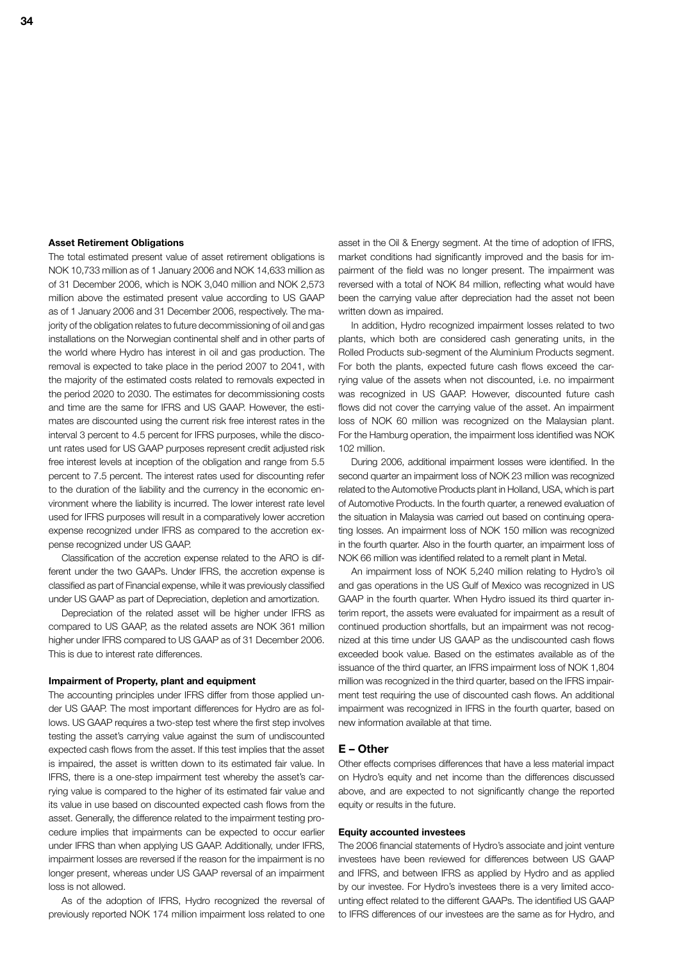### **Asset Retirement Obligations**

The total estimated present value of asset retirement obligations is NOK 10,733 million as of 1 January 2006 and NOK 14,633 million as of 31 December 2006, which is NOK 3,040 million and NOK 2,573 million above the estimated present value according to US GAAP as of 1 January 2006 and 31 December 2006, respectively. The majority of the obligation relates to future decommissioning of oil and gas installations on the Norwegian continental shelf and in other parts of the world where Hydro has interest in oil and gas production. The removal is expected to take place in the period 2007 to 2041, with the majority of the estimated costs related to removals expected in the period 2020 to 2030. The estimates for decommissioning costs and time are the same for IFRS and US GAAP. However, the estimates are discounted using the current risk free interest rates in the interval 3 percent to 4.5 percent for IFRS purposes, while the discount rates used for US GAAP purposes represent credit adjusted risk free interest levels at inception of the obligation and range from 5.5 percent to 7.5 percent. The interest rates used for discounting refer to the duration of the liability and the currency in the economic environment where the liability is incurred. The lower interest rate level used for IFRS purposes will result in a comparatively lower accretion expense recognized under IFRS as compared to the accretion expense recognized under US GAAP.

Classification of the accretion expense related to the ARO is different under the two GAAPs. Under IFRS, the accretion expense is classified as part of Financial expense, while it was previously classified under US GAAP as part of Depreciation, depletion and amortization.

Depreciation of the related asset will be higher under IFRS as compared to US GAAP, as the related assets are NOK 361 million higher under IFRS compared to US GAAP as of 31 December 2006. This is due to interest rate differences.

### **Impairment of Property, plant and equipment**

The accounting principles under IFRS differ from those applied under US GAAP. The most important differences for Hydro are as follows. US GAAP requires a two-step test where the first step involves testing the asset's carrying value against the sum of undiscounted expected cash flows from the asset. If this test implies that the asset is impaired, the asset is written down to its estimated fair value. In IFRS, there is a one-step impairment test whereby the asset's carrying value is compared to the higher of its estimated fair value and its value in use based on discounted expected cash flows from the asset. Generally, the difference related to the impairment testing procedure implies that impairments can be expected to occur earlier under IFRS than when applying US GAAP. Additionally, under IFRS, impairment losses are reversed if the reason for the impairment is no longer present, whereas under US GAAP reversal of an impairment loss is not allowed.

As of the adoption of IFRS, Hydro recognized the reversal of previously reported NOK 174 million impairment loss related to one

asset in the Oil & Energy segment. At the time of adoption of IFRS, market conditions had significantly improved and the basis for impairment of the field was no longer present. The impairment was reversed with a total of NOK 84 million, reflecting what would have been the carrying value after depreciation had the asset not been written down as impaired.

In addition, Hydro recognized impairment losses related to two plants, which both are considered cash generating units, in the Rolled Products sub-segment of the Aluminium Products segment. For both the plants, expected future cash flows exceed the carrying value of the assets when not discounted, i.e. no impairment was recognized in US GAAP. However, discounted future cash flows did not cover the carrying value of the asset. An impairment loss of NOK 60 million was recognized on the Malaysian plant. For the Hamburg operation, the impairment loss identified was NOK 102 million.

During 2006, additional impairment losses were identified. In the second quarter an impairment loss of NOK 23 million was recognized related to the Automotive Products plant in Holland, USA, which is part of Automotive Products. In the fourth quarter, a renewed evaluation of the situation in Malaysia was carried out based on continuing operating losses. An impairment loss of NOK 150 million was recognized in the fourth quarter. Also in the fourth quarter, an impairment loss of NOK 66 million was identified related to a remelt plant in Metal.

An impairment loss of NOK 5,240 million relating to Hydro's oil and gas operations in the US Gulf of Mexico was recognized in US GAAP in the fourth quarter. When Hydro issued its third quarter interim report, the assets were evaluated for impairment as a result of continued production shortfalls, but an impairment was not recognized at this time under US GAAP as the undiscounted cash flows exceeded book value. Based on the estimates available as of the issuance of the third quarter, an IFRS impairment loss of NOK 1,804 million was recognized in the third quarter, based on the IFRS impairment test requiring the use of discounted cash flows. An additional impairment was recognized in IFRS in the fourth quarter, based on new information available at that time.

#### **E – Other**

Other effects comprises differences that have a less material impact on Hydro's equity and net income than the differences discussed above, and are expected to not significantly change the reported equity or results in the future.

#### **Equity accounted investees**

The 2006 financial statements of Hydro's associate and joint venture investees have been reviewed for differences between US GAAP and IFRS, and between IFRS as applied by Hydro and as applied by our investee. For Hydro's investees there is a very limited accounting effect related to the different GAAPs. The identified US GAAP to IFRS differences of our investees are the same as for Hydro, and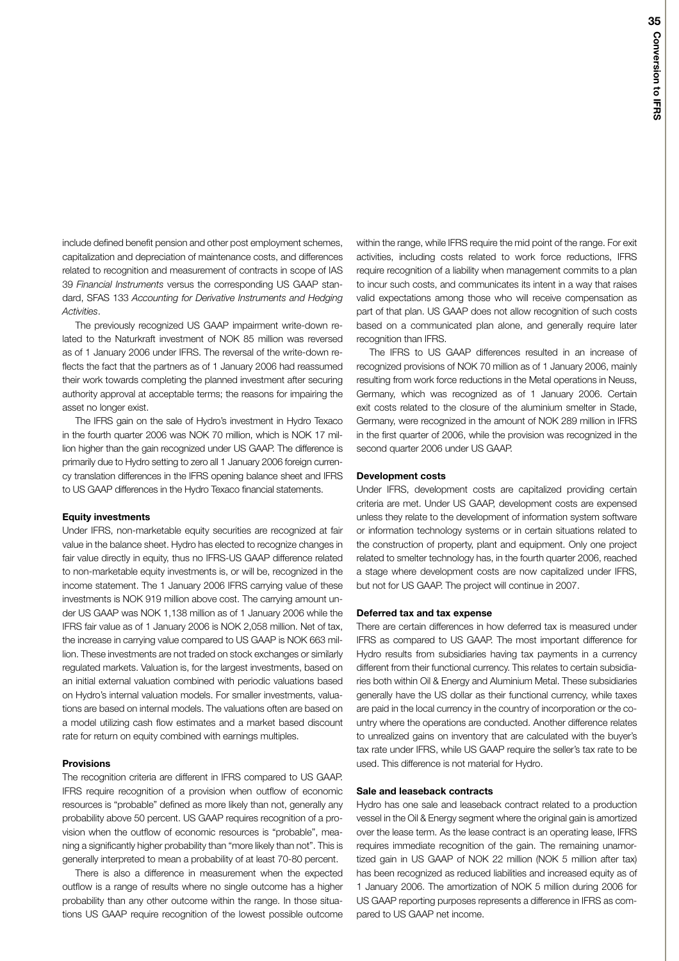include defined benefit pension and other post employment schemes, capitalization and depreciation of maintenance costs, and differences related to recognition and measurement of contracts in scope of IAS 39 *Financial Instruments* versus the corresponding US GAAP standard, SFAS 133 *Accounting for Derivative Instruments and Hedging Activities*.

The previously recognized US GAAP impairment write-down related to the Naturkraft investment of NOK 85 million was reversed as of 1 January 2006 under IFRS. The reversal of the write-down reflects the fact that the partners as of 1 January 2006 had reassumed their work towards completing the planned investment after securing authority approval at acceptable terms; the reasons for impairing the asset no longer exist.

The IFRS gain on the sale of Hydro's investment in Hydro Texaco in the fourth quarter 2006 was NOK 70 million, which is NOK 17 million higher than the gain recognized under US GAAP. The difference is primarily due to Hydro setting to zero all 1 January 2006 foreign currency translation differences in the IFRS opening balance sheet and IFRS to US GAAP differences in the Hydro Texaco financial statements.

### **Equity investments**

Under IFRS, non-marketable equity securities are recognized at fair value in the balance sheet. Hydro has elected to recognize changes in fair value directly in equity, thus no IFRS-US GAAP difference related to non-marketable equity investments is, or will be, recognized in the income statement. The 1 January 2006 IFRS carrying value of these investments is NOK 919 million above cost. The carrying amount under US GAAP was NOK 1,138 million as of 1 January 2006 while the IFRS fair value as of 1 January 2006 is NOK 2,058 million. Net of tax, the increase in carrying value compared to US GAAP is NOK 663 million. These investments are not traded on stock exchanges or similarly regulated markets. Valuation is, for the largest investments, based on an initial external valuation combined with periodic valuations based on Hydro's internal valuation models. For smaller investments, valuations are based on internal models. The valuations often are based on a model utilizing cash flow estimates and a market based discount rate for return on equity combined with earnings multiples.

#### **Provisions**

The recognition criteria are different in IFRS compared to US GAAP. IFRS require recognition of a provision when outflow of economic resources is "probable" defined as more likely than not, generally any probability above 50 percent. US GAAP requires recognition of a provision when the outflow of economic resources is "probable", meaning a significantly higher probability than "more likely than not". This is generally interpreted to mean a probability of at least 70-80 percent.

There is also a difference in measurement when the expected outflow is a range of results where no single outcome has a higher probability than any other outcome within the range. In those situations US GAAP require recognition of the lowest possible outcome within the range, while IFRS require the mid point of the range. For exit activities, including costs related to work force reductions, IFRS require recognition of a liability when management commits to a plan to incur such costs, and communicates its intent in a way that raises valid expectations among those who will receive compensation as part of that plan. US GAAP does not allow recognition of such costs based on a communicated plan alone, and generally require later recognition than IFRS.

The IFRS to US GAAP differences resulted in an increase of recognized provisions of NOK 70 million as of 1 January 2006, mainly resulting from work force reductions in the Metal operations in Neuss, Germany, which was recognized as of 1 January 2006. Certain exit costs related to the closure of the aluminium smelter in Stade, Germany, were recognized in the amount of NOK 289 million in IFRS in the first quarter of 2006, while the provision was recognized in the second quarter 2006 under US GAAP.

#### **Development costs**

Under IFRS, development costs are capitalized providing certain criteria are met. Under US GAAP, development costs are expensed unless they relate to the development of information system software or information technology systems or in certain situations related to the construction of property, plant and equipment. Only one project related to smelter technology has, in the fourth quarter 2006, reached a stage where development costs are now capitalized under IFRS, but not for US GAAP. The project will continue in 2007.

## **Deferred tax and tax expense**

There are certain differences in how deferred tax is measured under IFRS as compared to US GAAP. The most important difference for Hydro results from subsidiaries having tax payments in a currency different from their functional currency. This relates to certain subsidiaries both within Oil & Energy and Aluminium Metal. These subsidiaries generally have the US dollar as their functional currency, while taxes are paid in the local currency in the country of incorporation or the country where the operations are conducted. Another difference relates to unrealized gains on inventory that are calculated with the buyer's tax rate under IFRS, while US GAAP require the seller's tax rate to be used. This difference is not material for Hydro.

## **Sale and leaseback contracts**

Hydro has one sale and leaseback contract related to a production vessel in the Oil & Energy segment where the original gain is amortized over the lease term. As the lease contract is an operating lease, IFRS requires immediate recognition of the gain. The remaining unamortized gain in US GAAP of NOK 22 million (NOK 5 million after tax) has been recognized as reduced liabilities and increased equity as of 1 January 2006. The amortization of NOK 5 million during 2006 for US GAAP reporting purposes represents a difference in IFRS as compared to US GAAP net income.